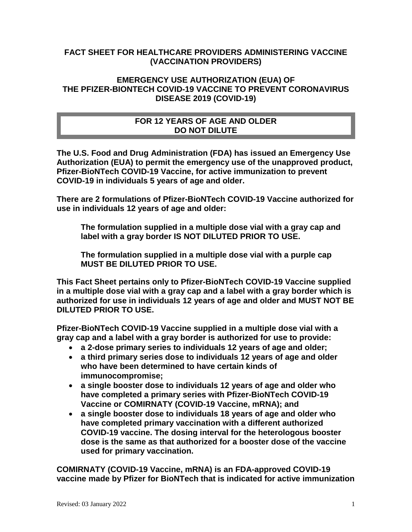## **FACT SHEET FOR HEALTHCARE PROVIDERS ADMINISTERING VACCINE (VACCINATION PROVIDERS)**

## **EMERGENCY USE AUTHORIZATION (EUA) OF THE PFIZER-BIONTECH COVID-19 VACCINE TO PREVENT CORONAVIRUS DISEASE 2019 (COVID-19)**

## **FOR 12 YEARS OF AGE AND OLDER DO NOT DILUTE**

**The U.S. Food and Drug Administration (FDA) has issued an Emergency Use Authorization (EUA) to permit the emergency use of the unapproved product, Pfizer-BioNTech COVID-19 Vaccine, for active immunization to prevent COVID-19 in individuals 5 years of age and older.**

**There are 2 formulations of Pfizer-BioNTech COVID-19 Vaccine authorized for use in individuals 12 years of age and older:**

**The formulation supplied in a multiple dose vial with a gray cap and label with a gray border IS NOT DILUTED PRIOR TO USE.** 

**The formulation supplied in a multiple dose vial with a purple cap MUST BE DILUTED PRIOR TO USE.**

**This Fact Sheet pertains only to Pfizer-BioNTech COVID-19 Vaccine supplied in a multiple dose vial with a gray cap and a label with a gray border which is authorized for use in individuals 12 years of age and older and MUST NOT BE DILUTED PRIOR TO USE.** 

**Pfizer-BioNTech COVID-19 Vaccine supplied in a multiple dose vial with a gray cap and a label with a gray border is authorized for use to provide:**

- **a 2-dose primary series to individuals 12 years of age and older;**
- **a third primary series dose to individuals 12 years of age and older who have been determined to have certain kinds of immunocompromise;**
- **a single booster dose to individuals 12 years of age and older who have completed a primary series with Pfizer-BioNTech COVID-19 Vaccine or COMIRNATY (COVID-19 Vaccine, mRNA); and**
- **a single booster dose to individuals 18 years of age and older who have completed primary vaccination with a different authorized COVID-19 vaccine. The dosing interval for the heterologous booster dose is the same as that authorized for a booster dose of the vaccine used for primary vaccination.**

**COMIRNATY (COVID-19 Vaccine, mRNA) is an FDA-approved COVID-19 vaccine made by Pfizer for BioNTech that is indicated for active immunization**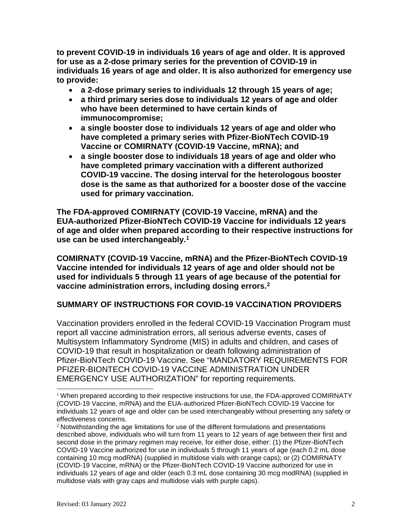**to prevent COVID-19 in individuals 16 years of age and older. It is approved for use as a 2-dose primary series for the prevention of COVID-19 in individuals 16 years of age and older. It is also authorized for emergency use to provide:** 

- **a 2-dose primary series to individuals 12 through 15 years of age;**
- **a third primary series dose to individuals 12 years of age and older who have been determined to have certain kinds of immunocompromise;**
- **a single booster dose to individuals 12 years of age and older who have completed a primary series with Pfizer-BioNTech COVID-19 Vaccine or COMIRNATY (COVID-19 Vaccine, mRNA); and**
- **a single booster dose to individuals 18 years of age and older who have completed primary vaccination with a different authorized COVID-19 vaccine. The dosing interval for the heterologous booster dose is the same as that authorized for a booster dose of the vaccine used for primary vaccination.**

**The FDA-approved COMIRNATY (COVID-19 Vaccine, mRNA) and the EUA-authorized Pfizer-BioNTech COVID-19 Vaccine for individuals 12 years of age and older when prepared according to their respective instructions for use can be used interchangeably.[1](#page-1-0)**

**COMIRNATY (COVID-19 Vaccine, mRNA) and the Pfizer-BioNTech COVID-19 Vaccine intended for individuals 12 years of age and older should not be used for individuals 5 through 11 years of age because of the potential for vaccine administration errors, including dosing errors.[2](#page-1-1)**

#### **SUMMARY OF INSTRUCTIONS FOR COVID-19 VACCINATION PROVIDERS**

Vaccination providers enrolled in the federal COVID-19 Vaccination Program must report all vaccine administration errors, all serious adverse events, cases of Multisystem Inflammatory Syndrome (MIS) in adults and children, and cases of COVID-19 that result in hospitalization or death following administration of Pfizer-BioNTech COVID-19 Vaccine. See "MANDATORY REQUIREMENTS FOR PFIZER-BIONTECH COVID-19 VACCINE ADMINISTRATION UNDER EMERGENCY USE AUTHORIZATION" for reporting requirements.

<span id="page-1-0"></span> $1$  When prepared according to their respective instructions for use, the FDA-approved COMIRNATY (COVID-19 Vaccine, mRNA) and the EUA-authorized Pfizer-BioNTech COVID-19 Vaccine for individuals 12 years of age and older can be used interchangeably without presenting any safety or effectiveness concerns.

<span id="page-1-1"></span> $2$  Notwithstanding the age limitations for use of the different formulations and presentations described above, individuals who will turn from 11 years to 12 years of age between their first and second dose in the primary regimen may receive, for either dose, either: (1) the Pfizer-BioNTech COVID-19 Vaccine authorized for use in individuals 5 through 11 years of age (each 0.2 mL dose containing 10 mcg modRNA) (supplied in multidose vials with orange caps); or (2) COMIRNATY (COVID-19 Vaccine, mRNA) or the Pfizer-BioNTech COVID-19 Vaccine authorized for use in individuals 12 years of age and older (each 0.3 mL dose containing 30 mcg modRNA) (supplied in multidose vials with gray caps and multidose vials with purple caps).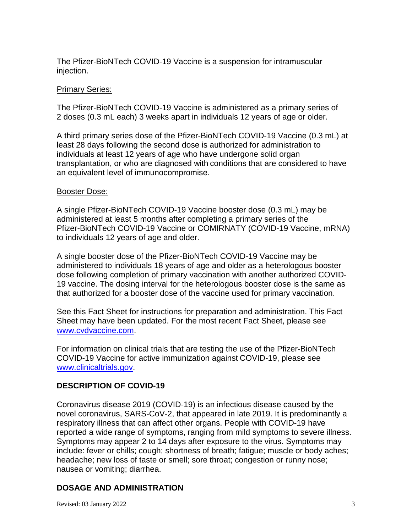The Pfizer-BioNTech COVID-19 Vaccine is a suspension for intramuscular injection.

#### Primary Series:

The Pfizer-BioNTech COVID-19 Vaccine is administered as a primary series of 2 doses (0.3 mL each) 3 weeks apart in individuals 12 years of age or older.

A third primary series dose of the Pfizer-BioNTech COVID-19 Vaccine (0.3 mL) at least 28 days following the second dose is authorized for administration to individuals at least 12 years of age who have undergone solid organ transplantation, or who are diagnosed with conditions that are considered to have an equivalent level of immunocompromise.

#### Booster Dose:

A single Pfizer-BioNTech COVID-19 Vaccine booster dose (0.3 mL) may be administered at least 5 months after completing a primary series of the Pfizer-BioNTech COVID-19 Vaccine or COMIRNATY (COVID-19 Vaccine, mRNA) to individuals 12 years of age and older.

A single booster dose of the Pfizer-BioNTech COVID-19 Vaccine may be administered to individuals 18 years of age and older as a heterologous booster dose following completion of primary vaccination with another authorized COVID-19 vaccine. The dosing interval for the heterologous booster dose is the same as that authorized for a booster dose of the vaccine used for primary vaccination.

See this Fact Sheet for instructions for preparation and administration. This Fact Sheet may have been updated. For the most recent Fact Sheet, please see [www.cvdvaccine.com.](http://www.cvdvaccine.com/)

For information on clinical trials that are testing the use of the Pfizer-BioNTech COVID-19 Vaccine for active immunization against COVID-19, please see [www.clinicaltrials.gov.](https://clinicaltrials.gov/)

#### **DESCRIPTION OF COVID-19**

Coronavirus disease 2019 (COVID-19) is an infectious disease caused by the novel coronavirus, SARS-CoV-2, that appeared in late 2019. It is predominantly a respiratory illness that can affect other organs. People with COVID-19 have reported a wide range of symptoms, ranging from mild symptoms to severe illness. Symptoms may appear 2 to 14 days after exposure to the virus. Symptoms may include: fever or chills; cough; shortness of breath; fatigue; muscle or body aches; headache; new loss of taste or smell; sore throat; congestion or runny nose; nausea or vomiting; diarrhea.

#### **DOSAGE AND ADMINISTRATION**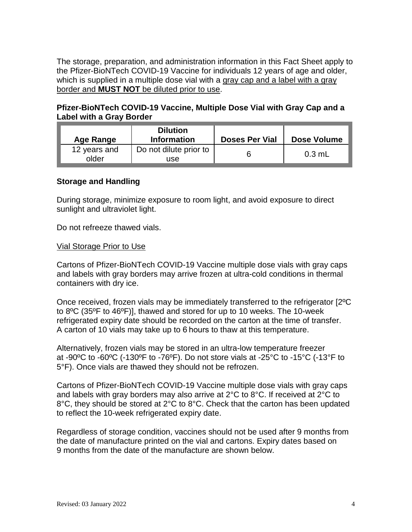The storage, preparation, and administration information in this Fact Sheet apply to the Pfizer-BioNTech COVID-19 Vaccine for individuals 12 years of age and older, which is supplied in a multiple dose vial with a gray cap and a label with a gray border and **MUST NOT** be diluted prior to use.

## **Pfizer-BioNTech COVID-19 Vaccine, Multiple Dose Vial with Gray Cap and a Label with a Gray Border**

| Age Range             | <b>Dilution</b><br><b>Information</b> | <b>Doses Per Vial</b> | <b>Dose Volume</b> |
|-----------------------|---------------------------------------|-----------------------|--------------------|
| 12 years and<br>older | Do not dilute prior to<br>use         |                       | $0.3$ mL           |

## **Storage and Handling**

During storage, minimize exposure to room light, and avoid exposure to direct sunlight and ultraviolet light.

Do not refreeze thawed vials.

#### Vial Storage Prior to Use

Cartons of Pfizer-BioNTech COVID-19 Vaccine multiple dose vials with gray caps and labels with gray borders may arrive frozen at ultra-cold conditions in thermal containers with dry ice.

Once received, frozen vials may be immediately transferred to the refrigerator [2ºC to 8ºC (35ºF to 46ºF)], thawed and stored for up to 10 weeks. The 10-week refrigerated expiry date should be recorded on the carton at the time of transfer. A carton of 10 vials may take up to 6 hours to thaw at this temperature.

Alternatively, frozen vials may be stored in an ultra-low temperature freezer at -90ºC to -60ºC (-130ºF to -76ºF). Do not store vials at -25°C to -15°C (-13°F to 5°F). Once vials are thawed they should not be refrozen.

Cartons of Pfizer-BioNTech COVID-19 Vaccine multiple dose vials with gray caps and labels with gray borders may also arrive at 2°C to 8°C. If received at 2°C to 8°C, they should be stored at 2°C to 8°C. Check that the carton has been updated to reflect the 10-week refrigerated expiry date.

Regardless of storage condition, vaccines should not be used after 9 months from the date of manufacture printed on the vial and cartons. Expiry dates based on 9 months from the date of the manufacture are shown below.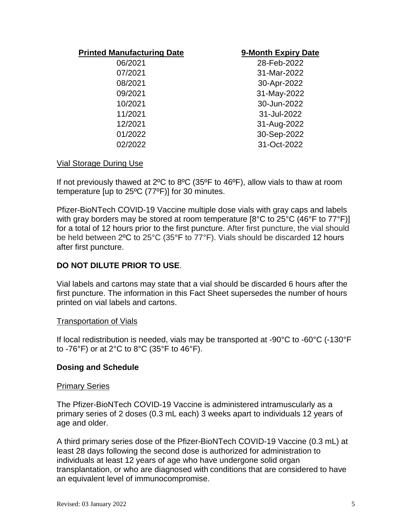#### **Printed Manufacturing Date 9-Month Expiry Date**

06/2021 28-Feb-2022 07/2021 31-Mar-2022 08/2021 30-Apr-2022 09/2021 31-May-2022 10/2021 30-Jun-2022 11/2021 31-Jul-2022 12/2021 31-Aug-2022 01/2022 30-Sep-2022 02/2022 31-Oct-2022

#### Vial Storage During Use

If not previously thawed at 2ºC to 8ºC (35ºF to 46ºF), allow vials to thaw at room temperature [up to 25ºC (77ºF)] for 30 minutes.

Pfizer-BioNTech COVID-19 Vaccine multiple dose vials with gray caps and labels with gray borders may be stored at room temperature [8°C to 25°C (46°F to 77°F)] for a total of 12 hours prior to the first puncture. After first puncture, the vial should be held between 2ºC to 25°C (35°F to 77°F). Vials should be discarded 12 hours after first puncture.

## **DO NOT DILUTE PRIOR TO USE**.

Vial labels and cartons may state that a vial should be discarded 6 hours after the first puncture. The information in this Fact Sheet supersedes the number of hours printed on vial labels and cartons.

#### Transportation of Vials

If local redistribution is needed, vials may be transported at -90°C to -60°C (-130°F to -76°F) or at 2°C to 8°C (35°F to 46°F).

#### **Dosing and Schedule**

#### Primary Series

The Pfizer-BioNTech COVID-19 Vaccine is administered intramuscularly as a primary series of 2 doses (0.3 mL each) 3 weeks apart to individuals 12 years of age and older.

A third primary series dose of the Pfizer-BioNTech COVID-19 Vaccine (0.3 mL) at least 28 days following the second dose is authorized for administration to individuals at least 12 years of age who have undergone solid organ transplantation, or who are diagnosed with conditions that are considered to have an equivalent level of immunocompromise.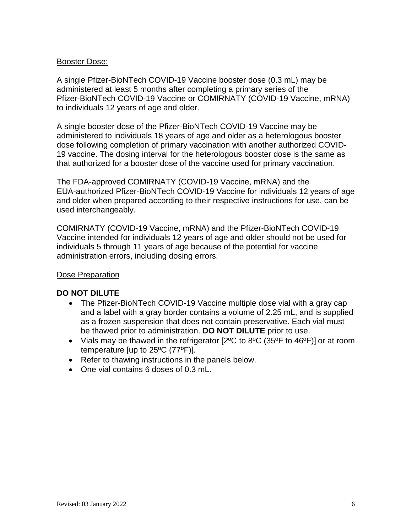#### Booster Dose:

A single Pfizer-BioNTech COVID-19 Vaccine booster dose (0.3 mL) may be administered at least 5 months after completing a primary series of the Pfizer-BioNTech COVID-19 Vaccine or COMIRNATY (COVID-19 Vaccine, mRNA) to individuals 12 years of age and older.

A single booster dose of the Pfizer-BioNTech COVID-19 Vaccine may be administered to individuals 18 years of age and older as a heterologous booster dose following completion of primary vaccination with another authorized COVID-19 vaccine. The dosing interval for the heterologous booster dose is the same as that authorized for a booster dose of the vaccine used for primary vaccination.

The FDA-approved COMIRNATY (COVID-19 Vaccine, mRNA) and the EUA-authorized Pfizer-BioNTech COVID-19 Vaccine for individuals 12 years of age and older when prepared according to their respective instructions for use, can be used interchangeably.

COMIRNATY (COVID-19 Vaccine, mRNA) and the Pfizer-BioNTech COVID-19 Vaccine intended for individuals 12 years of age and older should not be used for individuals 5 through 11 years of age because of the potential for vaccine administration errors, including dosing errors.

#### Dose Preparation

#### **DO NOT DILUTE**

- The Pfizer-BioNTech COVID-19 Vaccine multiple dose vial with a gray cap and a label with a gray border contains a volume of 2.25 mL, and is supplied as a frozen suspension that does not contain preservative. Each vial must be thawed prior to administration. **DO NOT DILUTE** prior to use.
- Vials may be thawed in the refrigerator [2°C to 8°C (35°F to 46°F)] or at room temperature [up to 25ºC (77ºF)].
- Refer to thawing instructions in the panels below.
- One vial contains 6 doses of 0.3 mL.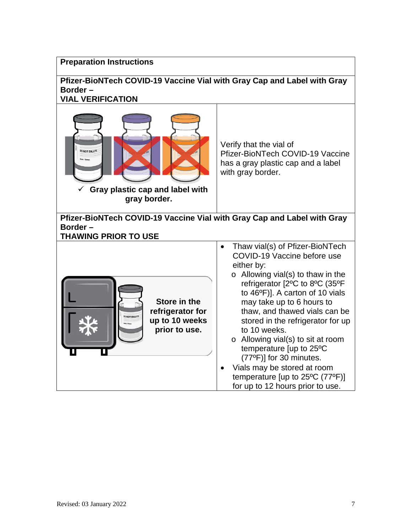#### **Preparation Instructions**

#### **Pfizer-BioNTech COVID-19 Vaccine Vial with Gray Cap and Label with Gray Border – VIAL VERIFICATION**

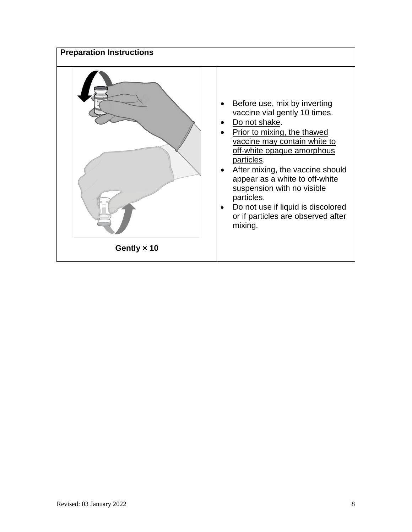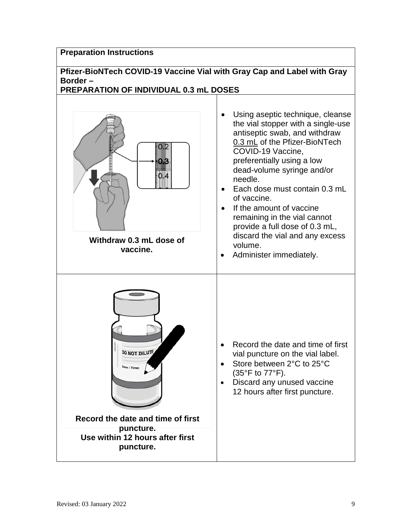### **Preparation Instructions**

# **Pfizer-BioNTech COVID-19 Vaccine Vial with Gray Cap and Label with Gray Border –**

# **PREPARATION OF INDIVIDUAL 0.3 mL DOSES**

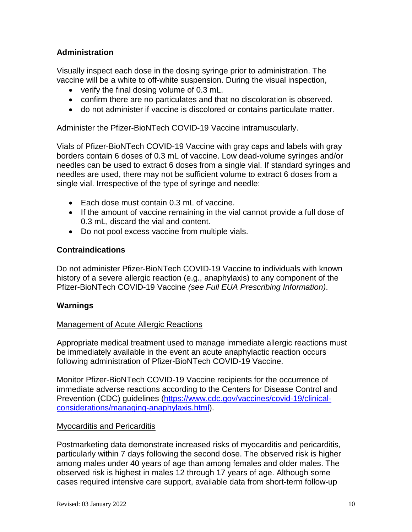## **Administration**

Visually inspect each dose in the dosing syringe prior to administration. The vaccine will be a white to off-white suspension. During the visual inspection,

- verify the final dosing volume of 0.3 mL.
- confirm there are no particulates and that no discoloration is observed.
- do not administer if vaccine is discolored or contains particulate matter.

Administer the Pfizer-BioNTech COVID-19 Vaccine intramuscularly.

Vials of Pfizer-BioNTech COVID-19 Vaccine with gray caps and labels with gray borders contain 6 doses of 0.3 mL of vaccine. Low dead-volume syringes and/or needles can be used to extract 6 doses from a single vial. If standard syringes and needles are used, there may not be sufficient volume to extract 6 doses from a single vial. Irrespective of the type of syringe and needle:

- Each dose must contain 0.3 mL of vaccine.
- If the amount of vaccine remaining in the vial cannot provide a full dose of 0.3 mL, discard the vial and content.
- Do not pool excess vaccine from multiple vials.

#### **Contraindications**

Do not administer Pfizer-BioNTech COVID-19 Vaccine to individuals with known history of a severe allergic reaction (e.g., anaphylaxis) to any component of the Pfizer-BioNTech COVID-19 Vaccine *(see Full EUA Prescribing Information)*.

#### **Warnings**

#### Management of Acute Allergic Reactions

Appropriate medical treatment used to manage immediate allergic reactions must be immediately available in the event an acute anaphylactic reaction occurs following administration of Pfizer-BioNTech COVID-19 Vaccine.

Monitor Pfizer-BioNTech COVID-19 Vaccine recipients for the occurrence of immediate adverse reactions according to the Centers for Disease Control and Prevention (CDC) guidelines [\(https://www.cdc.gov/vaccines/covid-19/clinical](https://www.cdc.gov/vaccines/covid-19/clinical-considerations/managing-anaphylaxis.html)[considerations/managing-anaphylaxis.html\)](https://www.cdc.gov/vaccines/covid-19/clinical-considerations/managing-anaphylaxis.html).

#### Myocarditis and Pericarditis

Postmarketing data demonstrate increased risks of myocarditis and pericarditis, particularly within 7 days following the second dose. The observed risk is higher among males under 40 years of age than among females and older males. The observed risk is highest in males 12 through 17 years of age. Although some cases required intensive care support, available data from short-term follow-up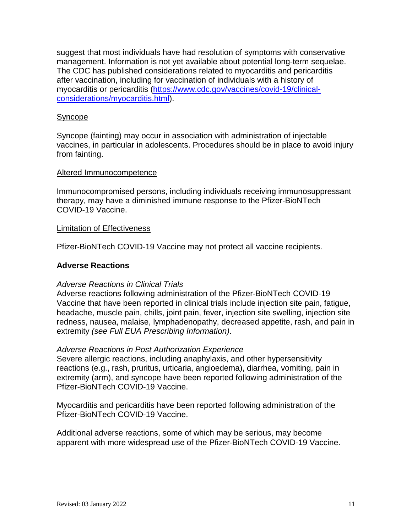suggest that most individuals have had resolution of symptoms with conservative management. Information is not yet available about potential long-term sequelae. The CDC has published considerations related to myocarditis and pericarditis after vaccination, including for vaccination of individuals with a history of myocarditis or pericarditis [\(https://www.cdc.gov/vaccines/covid-19/clinical](https://www.cdc.gov/vaccines/covid-19/clinical-considerations/myocarditis.html)[considerations/myocarditis.html\)](https://www.cdc.gov/vaccines/covid-19/clinical-considerations/myocarditis.html).

#### Syncope

Syncope (fainting) may occur in association with administration of injectable vaccines, in particular in adolescents. Procedures should be in place to avoid injury from fainting.

#### Altered Immunocompetence

Immunocompromised persons, including individuals receiving immunosuppressant therapy, may have a diminished immune response to the Pfizer-BioNTech COVID-19 Vaccine.

#### Limitation of Effectiveness

Pfizer-BioNTech COVID-19 Vaccine may not protect all vaccine recipients.

## **Adverse Reactions**

#### *Adverse Reactions in Clinical Trials*

Adverse reactions following administration of the Pfizer-BioNTech COVID-19 Vaccine that have been reported in clinical trials include injection site pain, fatigue, headache, muscle pain, chills, joint pain, fever, injection site swelling, injection site redness, nausea, malaise, lymphadenopathy, decreased appetite, rash, and pain in extremity *(see Full EUA Prescribing Information)*.

#### *Adverse Reactions in Post Authorization Experience*

Severe allergic reactions, including anaphylaxis, and other hypersensitivity reactions (e.g., rash, pruritus, urticaria, angioedema), diarrhea, vomiting, pain in extremity (arm), and syncope have been reported following administration of the Pfizer-BioNTech COVID-19 Vaccine.

Myocarditis and pericarditis have been reported following administration of the Pfizer-BioNTech COVID-19 Vaccine.

Additional adverse reactions, some of which may be serious, may become apparent with more widespread use of the Pfizer-BioNTech COVID-19 Vaccine.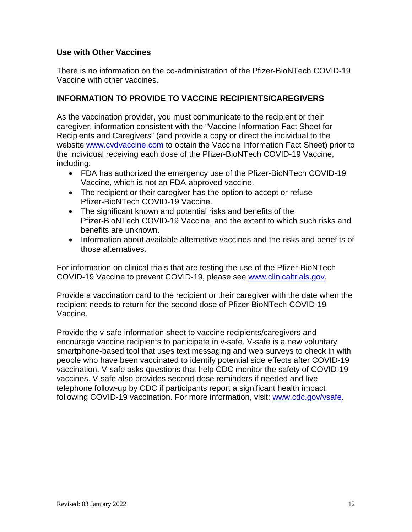## **Use with Other Vaccines**

There is no information on the co-administration of the Pfizer-BioNTech COVID-19 Vaccine with other vaccines.

## **INFORMATION TO PROVIDE TO VACCINE RECIPIENTS/CAREGIVERS**

As the vaccination provider, you must communicate to the recipient or their caregiver, information consistent with the "Vaccine Information Fact Sheet for Recipients and Caregivers" (and provide a copy or direct the individual to the website [www.cvdvaccine.com](http://www.cvdvaccine.com/) to obtain the Vaccine Information Fact Sheet) prior to the individual receiving each dose of the Pfizer-BioNTech COVID-19 Vaccine, including:

- FDA has authorized the emergency use of the Pfizer-BioNTech COVID-19 Vaccine, which is not an FDA-approved vaccine.
- The recipient or their caregiver has the option to accept or refuse Pfizer-BioNTech COVID-19 Vaccine.
- The significant known and potential risks and benefits of the Pfizer-BioNTech COVID-19 Vaccine, and the extent to which such risks and benefits are unknown.
- Information about available alternative vaccines and the risks and benefits of those alternatives.

For information on clinical trials that are testing the use of the Pfizer-BioNTech COVID-19 Vaccine to prevent COVID-19, please see [www.clinicaltrials.gov.](http://www.clinicaltrials.gov/)

Provide a vaccination card to the recipient or their caregiver with the date when the recipient needs to return for the second dose of Pfizer-BioNTech COVID-19 Vaccine.

Provide the v-safe information sheet to vaccine recipients/caregivers and encourage vaccine recipients to participate in v-safe. V-safe is a new voluntary smartphone-based tool that uses text messaging and web surveys to check in with people who have been vaccinated to identify potential side effects after COVID-19 vaccination. V-safe asks questions that help CDC monitor the safety of COVID-19 vaccines. V-safe also provides second-dose reminders if needed and live telephone follow-up by CDC if participants report a significant health impact following COVID-19 vaccination. For more information, visit: [www.cdc.gov/vsafe.](http://www.cdc.gov/vsafe)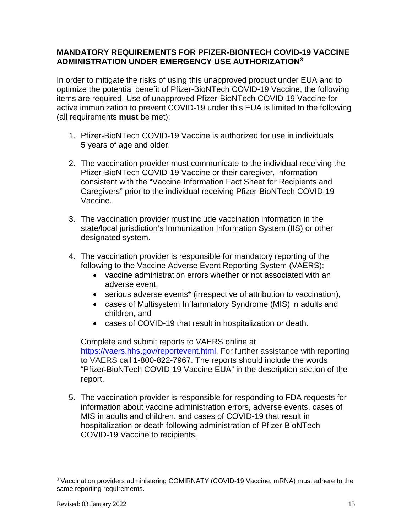## **MANDATORY REQUIREMENTS FOR PFIZER-BIONTECH COVID-19 VACCINE ADMINISTRATION UNDER EMERGENCY USE AUTHORIZATION[3](#page-12-0)**

In order to mitigate the risks of using this unapproved product under EUA and to optimize the potential benefit of Pfizer-BioNTech COVID-19 Vaccine, the following items are required. Use of unapproved Pfizer-BioNTech COVID-19 Vaccine for active immunization to prevent COVID-19 under this EUA is limited to the following (all requirements **must** be met):

- 1. Pfizer-BioNTech COVID-19 Vaccine is authorized for use in individuals 5 years of age and older.
- 2. The vaccination provider must communicate to the individual receiving the Pfizer-BioNTech COVID-19 Vaccine or their caregiver, information consistent with the "Vaccine Information Fact Sheet for Recipients and Caregivers" prior to the individual receiving Pfizer-BioNTech COVID-19 Vaccine.
- 3. The vaccination provider must include vaccination information in the state/local jurisdiction's Immunization Information System (IIS) or other designated system.
- 4. The vaccination provider is responsible for mandatory reporting of the following to the Vaccine Adverse Event Reporting System (VAERS):
	- vaccine administration errors whether or not associated with an adverse event,
	- serious adverse events<sup>\*</sup> (irrespective of attribution to vaccination),
	- cases of Multisystem Inflammatory Syndrome (MIS) in adults and children, and
	- cases of COVID-19 that result in hospitalization or death.

Complete and submit reports to VAERS online at [https://vaers.hhs.gov/reportevent.html.](https://vaers.hhs.gov/reportevent.html) For further assistance with reporting to VAERS call 1-800-822-7967. The reports should include the words "Pfizer-BioNTech COVID-19 Vaccine EUA" in the description section of the report.

5. The vaccination provider is responsible for responding to FDA requests for information about vaccine administration errors, adverse events, cases of MIS in adults and children, and cases of COVID-19 that result in hospitalization or death following administration of Pfizer-BioNTech COVID-19 Vaccine to recipients.

<span id="page-12-0"></span> <sup>3</sup> Vaccination providers administering COMIRNATY (COVID-19 Vaccine, mRNA) must adhere to the same reporting requirements.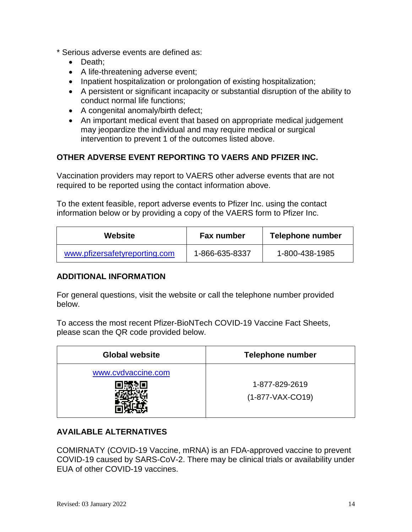- \* Serious adverse events are defined as:
	- Death;
	- A life-threatening adverse event;
	- Inpatient hospitalization or prolongation of existing hospitalization;
	- A persistent or significant incapacity or substantial disruption of the ability to conduct normal life functions;
	- A congenital anomaly/birth defect;
	- An important medical event that based on appropriate medical judgement may jeopardize the individual and may require medical or surgical intervention to prevent 1 of the outcomes listed above.

## **OTHER ADVERSE EVENT REPORTING TO VAERS AND PFIZER INC.**

Vaccination providers may report to VAERS other adverse events that are not required to be reported using the contact information above.

To the extent feasible, report adverse events to Pfizer Inc. using the contact information below or by providing a copy of the VAERS form to Pfizer Inc.

| Website                       | <b>Fax number</b> | Telephone number |  |
|-------------------------------|-------------------|------------------|--|
| www.pfizersafetyreporting.com | 1-866-635-8337    | 1-800-438-1985   |  |

#### **ADDITIONAL INFORMATION**

For general questions, visit the website or call the telephone number provided below.

To access the most recent Pfizer-BioNTech COVID-19 Vaccine Fact Sheets, please scan the QR code provided below.

| <b>Global website</b> | <b>Telephone number</b>              |
|-----------------------|--------------------------------------|
| www.cvdvaccine.com    | 1-877-829-2619<br>$(1-877-VAX-CO19)$ |

## **AVAILABLE ALTERNATIVES**

COMIRNATY (COVID-19 Vaccine, mRNA) is an FDA-approved vaccine to prevent COVID-19 caused by SARS-CoV-2. There may be clinical trials or availability under EUA of other COVID-19 vaccines.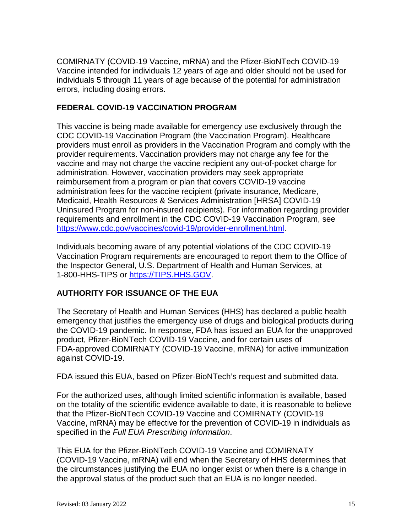COMIRNATY (COVID-19 Vaccine, mRNA) and the Pfizer-BioNTech COVID-19 Vaccine intended for individuals 12 years of age and older should not be used for individuals 5 through 11 years of age because of the potential for administration errors, including dosing errors.

## **FEDERAL COVID-19 VACCINATION PROGRAM**

This vaccine is being made available for emergency use exclusively through the CDC COVID-19 Vaccination Program (the Vaccination Program). Healthcare providers must enroll as providers in the Vaccination Program and comply with the provider requirements. Vaccination providers may not charge any fee for the vaccine and may not charge the vaccine recipient any out-of-pocket charge for administration. However, vaccination providers may seek appropriate reimbursement from a program or plan that covers COVID-19 vaccine administration fees for the vaccine recipient (private insurance, Medicare, Medicaid, Health Resources & Services Administration [HRSA] COVID-19 Uninsured Program for non-insured recipients). For information regarding provider requirements and enrollment in the CDC COVID-19 Vaccination Program, see [https://www.cdc.gov/vaccines/covid-19/provider-enrollment.html.](https://www.cdc.gov/vaccines/covid-19/provider-enrollment.html)

Individuals becoming aware of any potential violations of the CDC COVID-19 Vaccination Program requirements are encouraged to report them to the Office of the Inspector General, U.S. Department of Health and Human Services, at 1-800-HHS-TIPS or [https://TIPS.HHS.GOV.](https://tips.hhs.gov/)

## **AUTHORITY FOR ISSUANCE OF THE EUA**

The Secretary of Health and Human Services (HHS) has declared a public health emergency that justifies the emergency use of drugs and biological products during the COVID-19 pandemic. In response, FDA has issued an EUA for the unapproved product, Pfizer-BioNTech COVID-19 Vaccine, and for certain uses of FDA-approved COMIRNATY (COVID-19 Vaccine, mRNA) for active immunization against COVID-19.

FDA issued this EUA, based on Pfizer-BioNTech's request and submitted data.

For the authorized uses, although limited scientific information is available, based on the totality of the scientific evidence available to date, it is reasonable to believe that the Pfizer-BioNTech COVID-19 Vaccine and COMIRNATY (COVID-19 Vaccine, mRNA) may be effective for the prevention of COVID-19 in individuals as specified in the *Full EUA Prescribing Information*.

This EUA for the Pfizer-BioNTech COVID-19 Vaccine and COMIRNATY (COVID-19 Vaccine, mRNA) will end when the Secretary of HHS determines that the circumstances justifying the EUA no longer exist or when there is a change in the approval status of the product such that an EUA is no longer needed.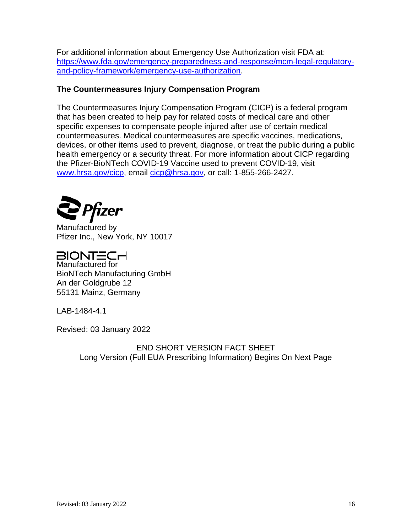For additional information about Emergency Use Authorization visit FDA at: [https://www.fda.gov/emergency-preparedness-and-response/mcm-legal-regulatory](https://www.fda.gov/emergency-preparedness-and-response/mcm-legal-regulatory-and-policy-framework/emergency-use-authorization)[and-policy-framework/emergency-use-authorization.](https://www.fda.gov/emergency-preparedness-and-response/mcm-legal-regulatory-and-policy-framework/emergency-use-authorization)

## **The Countermeasures Injury Compensation Program**

The Countermeasures Injury Compensation Program (CICP) is a federal program that has been created to help pay for related costs of medical care and other specific expenses to compensate people injured after use of certain medical countermeasures. Medical countermeasures are specific vaccines, medications, devices, or other items used to prevent, diagnose, or treat the public during a public health emergency or a security threat. For more information about CICP regarding the Pfizer-BioNTech COVID-19 Vaccine used to prevent COVID-19, visit [www.hrsa.gov/cicp,](http://www.hrsa.gov/cicp) email [cicp@hrsa.gov,](mailto:cicp@hrsa.gov) or call: 1-855-266-2427.



Manufactured by Pfizer Inc., New York, NY 10017

BIONT=CH

Manufactured for BioNTech Manufacturing GmbH An der Goldgrube 12 55131 Mainz, Germany

LAB-1484-4.1

Revised: 03 January 2022

END SHORT VERSION FACT SHEET Long Version (Full EUA Prescribing Information) Begins On Next Page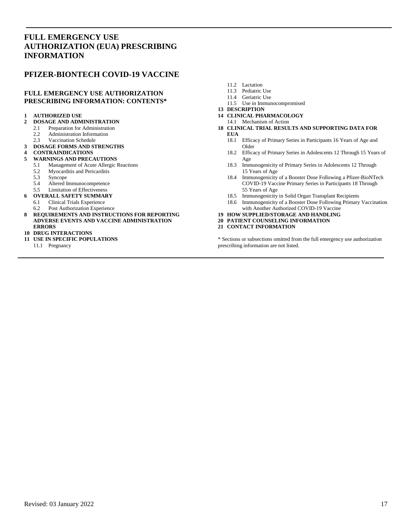#### **FULL EMERGENCY USE AUTHORIZATION (EUA) PRESCRIBING INFORMATION**

#### **PFIZER-BIONTECH COVID-19 VACCINE**

#### **FULL EMERGENCY USE AUTHORIZATION PRESCRIBING INFORMATION: CONTENTS\***

#### **1 AUTHORIZED USE**

- **2 DOSAGE AND ADMINISTRATION**
	- 2.1 Preparation for Administration
	- 2.2 Administration Information<br>2.3 Vaccination Schedule
	- Vaccination Schedule
- **3 DOSAGE FORMS AND STRENGTHS**

# **4 CONTRAINDICATIONS**

- **WARNINGS AND PRECAUTIONS**<br>5.1 Management of Acute Allergic
	- 5.1 Management of Acute Allergic Reactions
	- 5.2 Myocarditis and Pericarditis<br>5.3 Syncope
	- **Syncope**
	-
	- 5.4 Altered Immunocompetence<br>5.5 Limitation of Effectiveness Limitation of Effectiveness
	-
- **6 OVERALL SAFETY SUMMARY**<br>**6 1** Clinical Trials Experience 6.1 Clinical Trials Experience
	- 6.2 Post Authorization Experience
- **8 REQUIREMENTS AND INSTRUCTIONS FOR REPORTING ADVERSE EVENTS AND VACCINE ADMINISTRATION ERRORS**

#### **10 DRUG INTERACTIONS**

- **11 USE IN SPECIFIC POPULATIONS**
	- 11.1 Pregnancy
- 11.2 Lactation
- 11.3 Pediatric Use
- 11.4 Geriatric Use
- 11.5 Use in Immunocompromised
- **13 DESCRIPTION**
- **14 CLINICAL PHARMACOLOGY**
- 14.1 Mechanism of Action
- **18 CLINICAL TRIAL RESULTS AND SUPPORTING DATA FOR EUA**
	- 18.1 Efficacy of Primary Series in Participants 16 Years of Age and Older
	- 18.2 Efficacy of Primary Series in Adolescents 12 Through 15 Years of Age
	- 18.3 Immunogenicity of Primary Series in Adolescents 12 Through 15 Years of Age
	- 18.4 Immunogenicity of a Booster Dose Following a Pfizer-BioNTech COVID-19 Vaccine Primary Series in Participants 18 Through 55 Years of Age
	- 18.5 Immunogenicity in Solid Organ Transplant Recipients
	- 18.6 Immunogenicity of a Booster Dose Following Primary Vaccination with Another Authorized COVID-19 Vaccine
- **19 HOW SUPPLIED/STORAGE AND HANDLING**

#### **20 PATIENT COUNSELING INFORMATION**

**21 CONTACT INFORMATION**

\* Sections or subsections omitted from the full emergency use authorization prescribing information are not listed.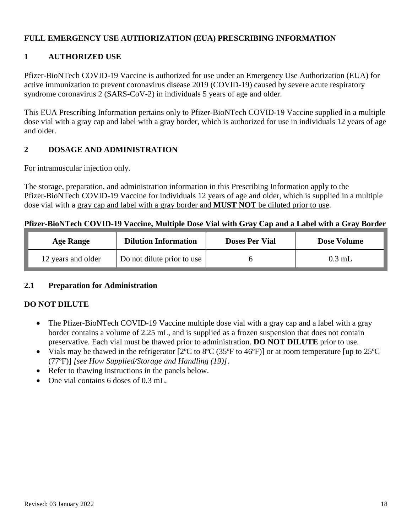## **FULL EMERGENCY USE AUTHORIZATION (EUA) PRESCRIBING INFORMATION**

## **1 AUTHORIZED USE**

Pfizer-BioNTech COVID-19 Vaccine is authorized for use under an Emergency Use Authorization (EUA) for active immunization to prevent coronavirus disease 2019 (COVID-19) caused by severe acute respiratory syndrome coronavirus 2 (SARS-CoV-2) in individuals 5 years of age and older.

This EUA Prescribing Information pertains only to Pfizer-BioNTech COVID-19 Vaccine supplied in a multiple dose vial with a gray cap and label with a gray border, which is authorized for use in individuals 12 years of age and older.

## **2 DOSAGE AND ADMINISTRATION**

For intramuscular injection only.

The storage, preparation, and administration information in this Prescribing Information apply to the Pfizer-BioNTech COVID-19 Vaccine for individuals 12 years of age and older, which is supplied in a multiple dose vial with a gray cap and label with a gray border and **MUST NOT** be diluted prior to use.

#### **Pfizer-BioNTech COVID-19 Vaccine, Multiple Dose Vial with Gray Cap and a Label with a Gray Border**

| <b>Age Range</b>   | <b>Dilution Information</b>                | <b>Doses Per Vial</b> | <b>Dose Volume</b> |
|--------------------|--------------------------------------------|-----------------------|--------------------|
| 12 years and older | $\vert$ Do not dilute prior to use $\vert$ |                       | $0.3$ mL           |

#### **2.1 Preparation for Administration**

#### **DO NOT DILUTE**

- The Pfizer-BioNTech COVID-19 Vaccine multiple dose vial with a gray cap and a label with a gray border contains a volume of 2.25 mL, and is supplied as a frozen suspension that does not contain preservative. Each vial must be thawed prior to administration. **DO NOT DILUTE** prior to use.
- Vials may be thawed in the refrigerator [2°C to 8°C (35°F to 46°F)] or at room temperature [up to 25°C (77ºF)] *[see How Supplied/Storage and Handling (19)]*.
- Refer to thawing instructions in the panels below.
- One vial contains 6 doses of 0.3 mL.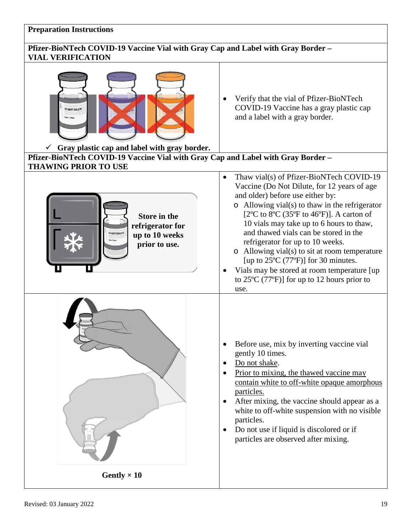#### **Preparation Instructions**

## **Pfizer-BioNTech COVID-19 Vaccine Vial with Gray Cap and Label with Gray Border – VIAL VERIFICATION**

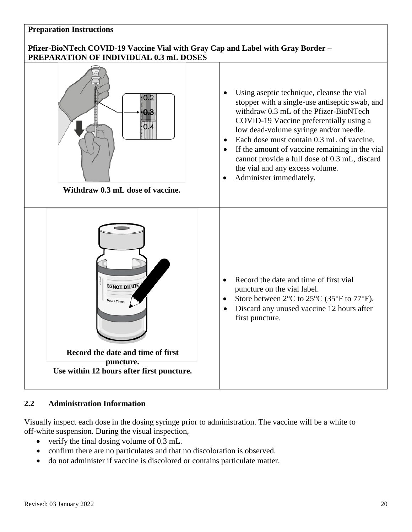#### **Preparation Instructions**

#### **Pfizer-BioNTech COVID-19 Vaccine Vial with Gray Cap and Label with Gray Border – PREPARATION OF INDIVIDUAL 0.3 mL DOSES**



#### **2.2 Administration Information**

Visually inspect each dose in the dosing syringe prior to administration. The vaccine will be a white to off-white suspension. During the visual inspection,

- verify the final dosing volume of 0.3 mL.
- confirm there are no particulates and that no discoloration is observed.
- do not administer if vaccine is discolored or contains particulate matter.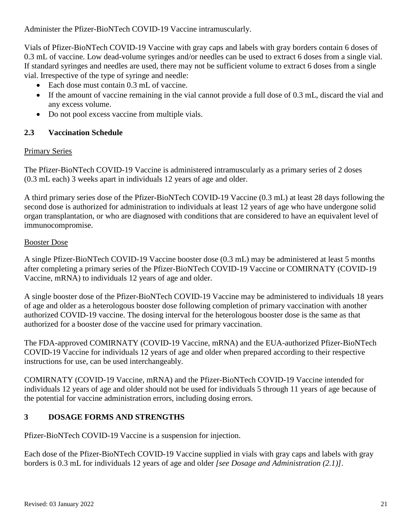Administer the Pfizer-BioNTech COVID-19 Vaccine intramuscularly.

Vials of Pfizer-BioNTech COVID-19 Vaccine with gray caps and labels with gray borders contain 6 doses of 0.3 mL of vaccine. Low dead-volume syringes and/or needles can be used to extract 6 doses from a single vial. If standard syringes and needles are used, there may not be sufficient volume to extract 6 doses from a single vial. Irrespective of the type of syringe and needle:

- Each dose must contain 0.3 mL of vaccine.
- If the amount of vaccine remaining in the vial cannot provide a full dose of 0.3 mL, discard the vial and any excess volume.
- Do not pool excess vaccine from multiple vials.

## **2.3 Vaccination Schedule**

#### Primary Series

The Pfizer-BioNTech COVID-19 Vaccine is administered intramuscularly as a primary series of 2 doses (0.3 mL each) 3 weeks apart in individuals 12 years of age and older.

A third primary series dose of the Pfizer-BioNTech COVID-19 Vaccine (0.3 mL) at least 28 days following the second dose is authorized for administration to individuals at least 12 years of age who have undergone solid organ transplantation, or who are diagnosed with conditions that are considered to have an equivalent level of immunocompromise.

## Booster Dose

A single Pfizer-BioNTech COVID-19 Vaccine booster dose (0.3 mL) may be administered at least 5 months after completing a primary series of the Pfizer-BioNTech COVID-19 Vaccine or COMIRNATY (COVID-19 Vaccine, mRNA) to individuals 12 years of age and older.

A single booster dose of the Pfizer-BioNTech COVID-19 Vaccine may be administered to individuals 18 years of age and older as a heterologous booster dose following completion of primary vaccination with another authorized COVID-19 vaccine. The dosing interval for the heterologous booster dose is the same as that authorized for a booster dose of the vaccine used for primary vaccination.

The FDA-approved COMIRNATY (COVID-19 Vaccine, mRNA) and the EUA-authorized Pfizer-BioNTech COVID-19 Vaccine for individuals 12 years of age and older when prepared according to their respective instructions for use, can be used interchangeably.

COMIRNATY (COVID-19 Vaccine, mRNA) and the Pfizer-BioNTech COVID-19 Vaccine intended for individuals 12 years of age and older should not be used for individuals 5 through 11 years of age because of the potential for vaccine administration errors, including dosing errors.

## **3 DOSAGE FORMS AND STRENGTHS**

Pfizer-BioNTech COVID-19 Vaccine is a suspension for injection.

Each dose of the Pfizer-BioNTech COVID-19 Vaccine supplied in vials with gray caps and labels with gray borders is 0.3 mL for individuals 12 years of age and older *[see Dosage and Administration (2.1)]*.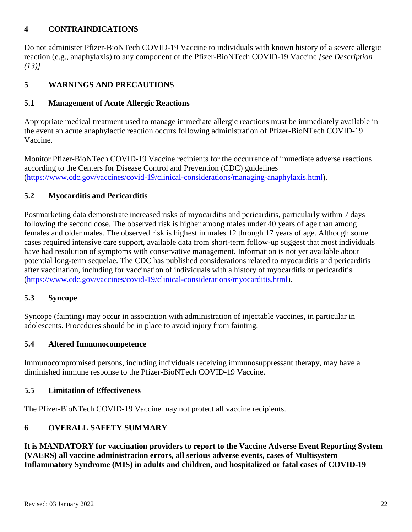## **4 CONTRAINDICATIONS**

Do not administer Pfizer-BioNTech COVID-19 Vaccine to individuals with known history of a severe allergic reaction (e.g., anaphylaxis) to any component of the Pfizer-BioNTech COVID-19 Vaccine *[see Description (13)]*.

## **5 WARNINGS AND PRECAUTIONS**

## **5.1 Management of Acute Allergic Reactions**

Appropriate medical treatment used to manage immediate allergic reactions must be immediately available in the event an acute anaphylactic reaction occurs following administration of Pfizer-BioNTech COVID-19 Vaccine.

Monitor Pfizer-BioNTech COVID-19 Vaccine recipients for the occurrence of immediate adverse reactions according to the Centers for Disease Control and Prevention (CDC) guidelines (https://www.cdc.gov/vaccines/covid-19/clinical-considerations/managing-anaphylaxis.html).

## **5.2 Myocarditis and Pericarditis**

Postmarketing data demonstrate increased risks of myocarditis and pericarditis, particularly within 7 days following the second dose. The observed risk is higher among males under 40 years of age than among females and older males. The observed risk is highest in males 12 through 17 years of age. Although some cases required intensive care support, available data from short-term follow-up suggest that most individuals have had resolution of symptoms with conservative management. Information is not yet available about potential long-term sequelae. The CDC has published considerations related to myocarditis and pericarditis after vaccination, including for vaccination of individuals with a history of myocarditis or pericarditis [\(https://www.cdc.gov/vaccines/covid-19/clinical-considerations/myocarditis.html\)](https://www.cdc.gov/vaccines/covid-19/clinical-considerations/myocarditis.html).

#### **5.3 Syncope**

Syncope (fainting) may occur in association with administration of injectable vaccines, in particular in adolescents. Procedures should be in place to avoid injury from fainting.

#### **5.4 Altered Immunocompetence**

Immunocompromised persons, including individuals receiving immunosuppressant therapy, may have a diminished immune response to the Pfizer-BioNTech COVID-19 Vaccine.

#### **5.5 Limitation of Effectiveness**

The Pfizer-BioNTech COVID-19 Vaccine may not protect all vaccine recipients.

## **6 OVERALL SAFETY SUMMARY**

**It is MANDATORY for vaccination providers to report to the Vaccine Adverse Event Reporting System (VAERS) all vaccine administration errors, all serious adverse events, cases of Multisystem Inflammatory Syndrome (MIS) in adults and children, and hospitalized or fatal cases of COVID-19**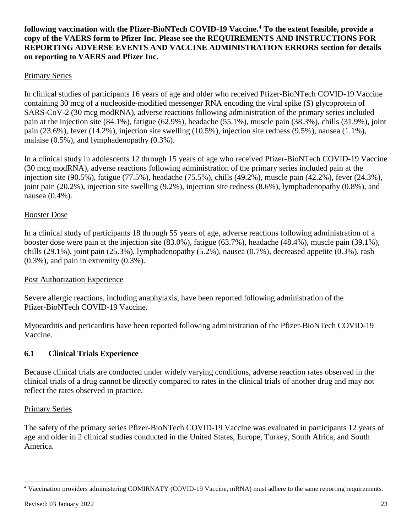### **following vaccination with the Pfizer-BioNTech COVID-19 Vaccine. [4](#page-22-0) To the extent feasible, provide a copy of the VAERS form to Pfizer Inc. Please see the REQUIREMENTS AND INSTRUCTIONS FOR REPORTING ADVERSE EVENTS AND VACCINE ADMINISTRATION ERRORS section for details on reporting to VAERS and Pfizer Inc.**

## Primary Series

In clinical studies of participants 16 years of age and older who received Pfizer-BioNTech COVID-19 Vaccine containing 30 mcg of a nucleoside-modified messenger RNA encoding the viral spike (S) glycoprotein of SARS-CoV-2 (30 mcg modRNA), adverse reactions following administration of the primary series included pain at the injection site (84.1%), fatigue (62.9%), headache (55.1%), muscle pain (38.3%), chills (31.9%), joint pain (23.6%), fever (14.2%), injection site swelling (10.5%), injection site redness (9.5%), nausea (1.1%), malaise (0.5%), and lymphadenopathy (0.3%).

In a clinical study in adolescents 12 through 15 years of age who received Pfizer-BioNTech COVID-19 Vaccine (30 mcg modRNA), adverse reactions following administration of the primary series included pain at the injection site (90.5%), fatigue (77.5%), headache (75.5%), chills (49.2%), muscle pain (42.2%), fever (24.3%), joint pain (20.2%), injection site swelling (9.2%), injection site redness (8.6%), lymphadenopathy (0.8%), and nausea (0.4%).

#### Booster Dose

In a clinical study of participants 18 through 55 years of age, adverse reactions following administration of a booster dose were pain at the injection site (83.0%), fatigue (63.7%), headache (48.4%), muscle pain (39.1%), chills (29.1%), joint pain (25.3%), lymphadenopathy (5.2%), nausea (0.7%), decreased appetite (0.3%), rash (0.3%), and pain in extremity (0.3%).

#### Post Authorization Experience

Severe allergic reactions, including anaphylaxis, have been reported following administration of the Pfizer-BioNTech COVID-19 Vaccine.

Myocarditis and pericarditis have been reported following administration of the Pfizer-BioNTech COVID-19 Vaccine.

#### **6.1 Clinical Trials Experience**

Because clinical trials are conducted under widely varying conditions, adverse reaction rates observed in the clinical trials of a drug cannot be directly compared to rates in the clinical trials of another drug and may not reflect the rates observed in practice.

#### Primary Series

The safety of the primary series Pfizer-BioNTech COVID-19 Vaccine was evaluated in participants 12 years of age and older in 2 clinical studies conducted in the United States, Europe, Turkey, South Africa, and South America.

<span id="page-22-0"></span> <sup>4</sup> Vaccination providers administering COMIRNATY (COVID-19 Vaccine, mRNA) must adhere to the same reporting requirements.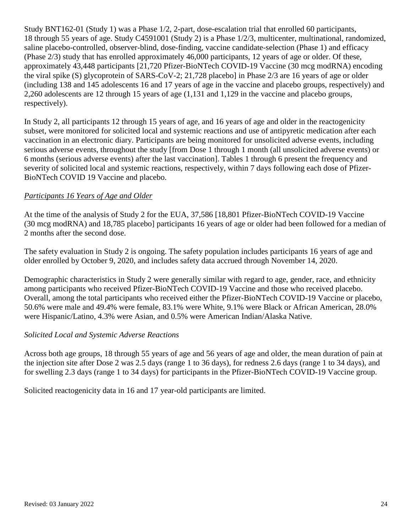Study BNT162-01 (Study 1) was a Phase 1/2, 2-part, dose-escalation trial that enrolled 60 participants, 18 through 55 years of age. Study C4591001 (Study 2) is a Phase 1/2/3, multicenter, multinational, randomized, saline placebo-controlled, observer-blind, dose-finding, vaccine candidate-selection (Phase 1) and efficacy (Phase 2/3) study that has enrolled approximately 46,000 participants, 12 years of age or older. Of these, approximately 43,448 participants [21,720 Pfizer-BioNTech COVID-19 Vaccine (30 mcg modRNA) encoding the viral spike (S) glycoprotein of SARS-CoV-2; 21,728 placebo] in Phase 2/3 are 16 years of age or older (including 138 and 145 adolescents 16 and 17 years of age in the vaccine and placebo groups, respectively) and 2,260 adolescents are 12 through 15 years of age (1,131 and 1,129 in the vaccine and placebo groups, respectively).

In Study 2, all participants 12 through 15 years of age, and 16 years of age and older in the reactogenicity subset, were monitored for solicited local and systemic reactions and use of antipyretic medication after each vaccination in an electronic diary. Participants are being monitored for unsolicited adverse events, including serious adverse events, throughout the study [from Dose 1 through 1 month (all unsolicited adverse events) or 6 months (serious adverse events) after the last vaccination]. Tables 1 through 6 present the frequency and severity of solicited local and systemic reactions, respectively, within 7 days following each dose of Pfizer-BioNTech COVID 19 Vaccine and placebo.

## *Participants 16 Years of Age and Older*

At the time of the analysis of Study 2 for the EUA, 37,586 [18,801 Pfizer-BioNTech COVID-19 Vaccine (30 mcg modRNA) and 18,785 placebo] participants 16 years of age or older had been followed for a median of 2 months after the second dose.

The safety evaluation in Study 2 is ongoing. The safety population includes participants 16 years of age and older enrolled by October 9, 2020, and includes safety data accrued through November 14, 2020.

Demographic characteristics in Study 2 were generally similar with regard to age, gender, race, and ethnicity among participants who received Pfizer-BioNTech COVID-19 Vaccine and those who received placebo. Overall, among the total participants who received either the Pfizer-BioNTech COVID-19 Vaccine or placebo, 50.6% were male and 49.4% were female, 83.1% were White, 9.1% were Black or African American, 28.0% were Hispanic/Latino, 4.3% were Asian, and 0.5% were American Indian/Alaska Native.

#### *Solicited Local and Systemic Adverse Reactions*

Across both age groups, 18 through 55 years of age and 56 years of age and older, the mean duration of pain at the injection site after Dose 2 was 2.5 days (range 1 to 36 days), for redness 2.6 days (range 1 to 34 days), and for swelling 2.3 days (range 1 to 34 days) for participants in the Pfizer-BioNTech COVID-19 Vaccine group.

Solicited reactogenicity data in 16 and 17 year-old participants are limited.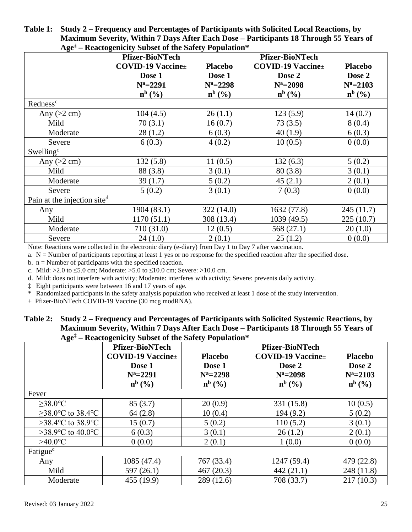**Table 1: Study 2 – Frequency and Percentages of Participants with Solicited Local Reactions, by Maximum Severity, Within 7 Days After Each Dose – Participants 18 Through 55 Years of Age‡ – Reactogenicity Subset of the Safety Population\***

|                             | $\Delta g$ – Reactogenicity Subset of the Safety Topulation<br><b>Pfizer-BioNTech</b> |                | <b>Pfizer-BioNTech</b>    |                |  |
|-----------------------------|---------------------------------------------------------------------------------------|----------------|---------------------------|----------------|--|
|                             | <b>COVID-19 Vaccine</b> ±                                                             | <b>Placebo</b> | <b>COVID-19 Vaccine</b> ± | <b>Placebo</b> |  |
|                             | Dose 1                                                                                | Dose 1         | Dose 2                    | Dose 2         |  |
|                             | $N^a = 2291$                                                                          | $N^a = 2298$   | $N^a = 2098$              | $N^a = 2103$   |  |
|                             | $n^{b}$ (%)                                                                           | $n^{b}$ (%)    | $n^{b}$ (%)               | $n^{b}$ (%)    |  |
| Redness <sup>c</sup>        |                                                                                       |                |                           |                |  |
| Any $(>2$ cm)               | 104(4.5)                                                                              | 26(1.1)        | 123(5.9)                  | 14(0.7)        |  |
| Mild                        | 70(3.1)                                                                               | 16(0.7)        | 73(3.5)                   | 8(0.4)         |  |
| Moderate                    | 28(1.2)                                                                               | 6(0.3)         | 40(1.9)                   | 6(0.3)         |  |
| Severe                      | 6(0.3)                                                                                | 4(0.2)         | 10(0.5)                   | 0(0.0)         |  |
| Swelling <sup>c</sup>       |                                                                                       |                |                           |                |  |
| Any $(>2$ cm)               | 132(5.8)                                                                              | 11(0.5)        | 132(6.3)                  | 5(0.2)         |  |
| Mild                        | 88 (3.8)                                                                              | 3(0.1)         | 80(3.8)                   | 3(0.1)         |  |
| Moderate                    | 39(1.7)                                                                               | 5(0.2)         | 45(2.1)                   | 2(0.1)         |  |
| Severe                      | 5(0.2)                                                                                | 3(0.1)         | 7(0.3)                    | 0(0.0)         |  |
| Pain at the injection sited |                                                                                       |                |                           |                |  |
| Any                         | 1904 (83.1)                                                                           | 322(14.0)      | 1632 (77.8)               | 245 (11.7)     |  |
| Mild                        | 1170(51.1)                                                                            | 308 (13.4)     | 1039 (49.5)               | 225(10.7)      |  |
| Moderate                    | 710 (31.0)                                                                            | 12(0.5)        | 568 (27.1)                | 20(1.0)        |  |
| Severe                      | 24(1.0)                                                                               | 2(0.1)         | 25(1.2)                   | 0(0.0)         |  |

Note: Reactions were collected in the electronic diary (e-diary) from Day 1 to Day 7 after vaccination.

a.  $N =$  Number of participants reporting at least 1 yes or no response for the specified reaction after the specified dose.

b.  $n =$  Number of participants with the specified reaction.

c. Mild: >2.0 to  $\leq 5.0$  cm; Moderate: >5.0 to  $\leq 10.0$  cm; Severe: >10.0 cm.

d. Mild: does not interfere with activity; Moderate: interferes with activity; Severe: prevents daily activity.

‡ Eight participants were between 16 and 17 years of age.

Randomized participants in the safety analysis population who received at least 1 dose of the study intervention.

± Pfizer-BioNTech COVID-19 Vaccine (30 mcg modRNA).

**Table 2: Study 2 – Frequency and Percentages of Participants with Solicited Systemic Reactions, by Maximum Severity, Within 7 Days After Each Dose – Participants 18 Through 55 Years of Age‡ – Reactogenicity Subset of the Safety Population\***

| $\mathbf{\Omega}$       | <b>Pfizer-BioNTech</b><br><b>COVID-19 Vaccine</b> ±<br>Dose 1<br>$N^a = 2291$<br>$n^{b}$ (%) | <b>Placebo</b><br>Dose 1<br>$N^a = 2298$<br>$n^{b}$ (%) | <b>Pfizer-BioNTech</b><br><b>COVID-19 Vaccine</b> ±<br>Dose 2<br>$N^a = 2098$<br>$n^{b}$ (%) | <b>Placebo</b><br>Dose 2<br>$N^a = 2103$<br>$\mathbf{n}^{\mathrm{b}}$ (%) |
|-------------------------|----------------------------------------------------------------------------------------------|---------------------------------------------------------|----------------------------------------------------------------------------------------------|---------------------------------------------------------------------------|
| Fever                   |                                                                                              |                                                         |                                                                                              |                                                                           |
| $>38.0$ °C              | 85(3.7)                                                                                      | 20(0.9)                                                 | 331 (15.8)                                                                                   | 10(0.5)                                                                   |
| $\geq$ 38.0°C to 38.4°C | 64(2.8)                                                                                      | 10(0.4)                                                 | 194 (9.2)                                                                                    | 5(0.2)                                                                    |
| >38.4 °C to 38.9 °C     | 15(0.7)                                                                                      | 5(0.2)                                                  | 110(5.2)                                                                                     | 3(0.1)                                                                    |
| >38.9 °C to 40.0 °C     | 6(0.3)                                                                                       | 3(0.1)                                                  | 26(1.2)                                                                                      | 2(0.1)                                                                    |
| $>40.0$ °C              | 0(0.0)                                                                                       | 2(0.1)                                                  | 1(0.0)                                                                                       | 0(0.0)                                                                    |
| Fatigue <sup>c</sup>    |                                                                                              |                                                         |                                                                                              |                                                                           |
| Any                     | 1085 (47.4)                                                                                  | 767 (33.4)                                              | 1247 (59.4)                                                                                  | 479 (22.8)                                                                |
| Mild                    | 597(26.1)                                                                                    | 467(20.3)                                               | 442(21.1)                                                                                    | 248 (11.8)                                                                |
| Moderate                | 455 (19.9)                                                                                   | 289 (12.6)                                              | 708 (33.7)                                                                                   | 217(10.3)                                                                 |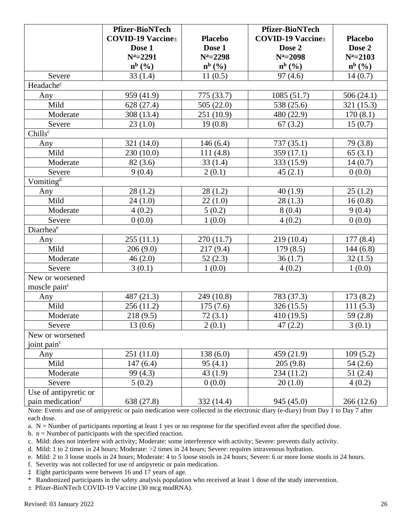|                              | <b>Pfizer-BioNTech</b>    |                | <b>Pfizer-BioNTech</b>    |                |
|------------------------------|---------------------------|----------------|---------------------------|----------------|
|                              | <b>COVID-19 Vaccine</b> ± | <b>Placebo</b> | <b>COVID-19 Vaccine</b> ± | <b>Placebo</b> |
|                              | Dose 1                    | Dose 1         | Dose 2                    | Dose 2         |
|                              | $N^a = 2291$              | $N^a = 2298$   | $N^a = 2098$              | $N^a = 2103$   |
|                              | $n^{b}$ (%)               | $n^{b}$ (%)    | $n^{b}$ (%)               | $n^{b}$ (%)    |
| Severe                       | 33(1.4)                   | 11(0.5)        | 97(4.6)                   | 14(0.7)        |
| Headachec                    |                           |                |                           |                |
| Any                          | 959 (41.9)                | 775 (33.7)     | 1085(51.7)                | 506(24.1)      |
| Mild                         | 628 (27.4)                | 505(22.0)      | 538 (25.6)                | 321 (15.3)     |
| Moderate                     | 308 (13.4)                | 251 (10.9)     | 480 (22.9)                | 170(8.1)       |
| Severe                       | 23(1.0)                   | 19(0.8)        | 67(3.2)                   | 15(0.7)        |
| Chills <sup>c</sup>          |                           |                |                           |                |
| Any                          | 321 (14.0)                | 146(6.4)       | 737(35.1)                 | 79 (3.8)       |
| Mild                         | 230 (10.0)                | 111(4.8)       | 359(17.1)                 | 65(3.1)        |
| Moderate                     | 82(3.6)                   | 33(1.4)        | 333 (15.9)                | 14(0.7)        |
| Severe                       | 9(0.4)                    | 2(0.1)         | 45(2.1)                   | 0(0.0)         |
| Vomiting <sup>d</sup>        |                           |                |                           |                |
| Any                          | 28(1.2)                   | 28(1.2)        | 40(1.9)                   | 25(1.2)        |
| Mild                         | 24(1.0)                   | 22(1.0)        | 28(1.3)                   | 16(0.8)        |
| Moderate                     | 4(0.2)                    | 5(0.2)         | 8(0.4)                    | 9(0.4)         |
| Severe                       | 0(0.0)                    | 1(0.0)         | 4(0.2)                    | 0(0.0)         |
| Diarrhea <sup>e</sup>        |                           |                |                           |                |
| Any                          | 255(11.1)                 | 270 (11.7)     | 219 (10.4)                | 177(8.4)       |
| Mild                         | 206(9.0)                  | 217(9.4)       | 179(8.5)                  | 144(6.8)       |
| Moderate                     | 46(2.0)                   | 52(2.3)        | 36(1.7)                   | 32(1.5)        |
| Severe                       | 3(0.1)                    | 1(0.0)         | 4(0.2)                    | 1(0.0)         |
| New or worsened              |                           |                |                           |                |
| muscle pain <sup>c</sup>     |                           |                |                           |                |
| Any                          | 487 (21.3)                | 249 (10.8)     | 783 (37.3)                | 173(8.2)       |
| Mild                         | 256(11.2)                 | 175(7.6)       | 326(15.5)                 | 111(5.3)       |
| Moderate                     | 218(9.5)                  | 72(3.1)        | 410 (19.5)                | 59 $(2.8)$     |
| Severe                       | 13(0.6)                   | 2(0.1)         | 47(2.2)                   | 3(0.1)         |
| New or worsened              |                           |                |                           |                |
| joint pain <sup>c</sup>      |                           |                |                           |                |
| Any                          | 251(11.0)                 | 138(6.0)       | 459 (21.9)                | 109(5.2)       |
| Mild                         | 147(6.4)                  | 95(4.1)        | 205(9.8)                  | 54(2.6)        |
| Moderate                     | 99 (4.3)                  | 43(1.9)        | 234 (11.2)                | 51(2.4)        |
| Severe                       | 5(0.2)                    | 0(0.0)         | 20(1.0)                   | 4(0.2)         |
| Use of antipyretic or        |                           |                |                           |                |
| pain medication <sup>f</sup> | 638 (27.8)                | 332 (14.4)     | 945 (45.0)                | 266(12.6)      |

Note: Events and use of antipyretic or pain medication were collected in the electronic diary (e-diary) from Day 1 to Day 7 after each dose.

a.  $N =$  Number of participants reporting at least 1 yes or no response for the specified event after the specified dose.

b.  $n =$  Number of participants with the specified reaction.

- c. Mild: does not interfere with activity; Moderate: some interference with activity; Severe: prevents daily activity.
- d. Mild: 1 to 2 times in 24 hours; Moderate: >2 times in 24 hours; Severe: requires intravenous hydration.
- e. Mild: 2 to 3 loose stools in 24 hours; Moderate: 4 to 5 loose stools in 24 hours; Severe: 6 or more loose stools in 24 hours.
- f. Severity was not collected for use of antipyretic or pain medication.
- ‡ Eight participants were between 16 and 17 years of age.
- \* Randomized participants in the safety analysis population who received at least 1 dose of the study intervention.

± Pfizer-BioNTech COVID-19 Vaccine (30 mcg modRNA).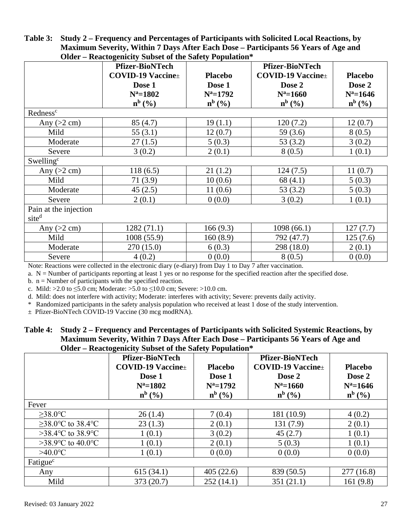|                                            | Oluci – Klativgelilchy Dubsci of the Bartly I opulation |                |                          |                |  |  |
|--------------------------------------------|---------------------------------------------------------|----------------|--------------------------|----------------|--|--|
|                                            | <b>Pfizer-BioNTech</b>                                  |                | <b>Pfizer-BioNTech</b>   |                |  |  |
|                                            | <b>COVID-19 Vaccine</b> ±                               | <b>Placebo</b> | $COVID-19$ Vaccine $\pm$ | <b>Placebo</b> |  |  |
|                                            | Dose 1                                                  | Dose 1         | Dose 2                   | Dose 2         |  |  |
|                                            | $N^a = 1802$                                            | $N^a = 1792$   | $N^a = 1660$             | $N^a = 1646$   |  |  |
|                                            | $n^{b}$ (%)                                             | $n^{b}$ (%)    | $n^{b}$ (%)              | $n^{b}$ (%)    |  |  |
| Redness <sup>c</sup>                       |                                                         |                |                          |                |  |  |
| Any $(>2 \text{ cm})$                      | 85(4.7)                                                 | 19(1.1)        | 120(7.2)                 | 12(0.7)        |  |  |
| Mild                                       | 55(3.1)                                                 | 12(0.7)        | 59 $(3.6)$               | 8(0.5)         |  |  |
| Moderate                                   | 27(1.5)                                                 | 5(0.3)         | 53(3.2)                  | 3(0.2)         |  |  |
| Severe                                     | 3(0.2)                                                  | 2(0.1)         | 8(0.5)                   | 1(0.1)         |  |  |
| Swelling <sup>c</sup>                      |                                                         |                |                          |                |  |  |
| Any $(>2 \text{ cm})$                      | 118(6.5)                                                | 21(1.2)        | 124(7.5)                 | 11(0.7)        |  |  |
| Mild                                       | 71(3.9)                                                 | 10(0.6)        | 68(4.1)                  | 5(0.3)         |  |  |
| Moderate                                   | 45(2.5)                                                 | 11(0.6)        | 53(3.2)                  | 5(0.3)         |  |  |
| Severe                                     | 2(0.1)                                                  | 0(0.0)         | 3(0.2)                   | 1(0.1)         |  |  |
| Pain at the injection<br>site <sup>d</sup> |                                                         |                |                          |                |  |  |
| Any $(>2$ cm)                              | 1282 (71.1)                                             | 166(9.3)       | 1098 (66.1)              | 127(7.7)       |  |  |
| Mild                                       | 1008(55.9)                                              | 160(8.9)       | 792 (47.7)               | 125(7.6)       |  |  |
| Moderate                                   | 270(15.0)                                               | 6(0.3)         | 298 (18.0)               | 2(0.1)         |  |  |
| Severe                                     | 4(0.2)                                                  | 0(0.0)         | 8(0.5)                   | 0(0.0)         |  |  |

#### **Table 3: Study 2 – Frequency and Percentages of Participants with Solicited Local Reactions, by Maximum Severity, Within 7 Days After Each Dose – Participants 56 Years of Age and Older – Reactogenicity Subset of the Safety Population\***

Note: Reactions were collected in the electronic diary (e-diary) from Day 1 to Day 7 after vaccination.

a.  $N =$  Number of participants reporting at least 1 yes or no response for the specified reaction after the specified dose.

b.  $n =$  Number of participants with the specified reaction.

c. Mild: >2.0 to  $\leq 5.0$  cm; Moderate: >5.0 to  $\leq 10.0$  cm; Severe: >10.0 cm.

d. Mild: does not interfere with activity; Moderate: interferes with activity; Severe: prevents daily activity.

\* Randomized participants in the safety analysis population who received at least 1 dose of the study intervention.

± Pfizer-BioNTech COVID-19 Vaccine (30 mcg modRNA).

#### **Table 4: Study 2 – Frequency and Percentages of Participants with Solicited Systemic Reactions, by Maximum Severity, Within 7 Days After Each Dose – Participants 56 Years of Age and Older – Reactogenicity Subset of the Safety Population\***

|                                       | <b>Pfizer-BioNTech</b><br>$COVID-19$ Vaccine $\pm$<br>Dose 1<br>$N^a = 1802$<br>$n^{b}$ (%) | <b>Placebo</b><br>Dose 1<br>$N^a = 1792$<br>$n^{b}$ (%) | <b>Pfizer-BioNTech</b><br><b>COVID-19 Vaccine</b> ±<br>Dose 2<br>$N^a = 1660$<br>$n^{b}$ (%) | <b>Placebo</b><br>Dose 2<br>$N^a = 1646$<br>$n^{b}$ (%) |
|---------------------------------------|---------------------------------------------------------------------------------------------|---------------------------------------------------------|----------------------------------------------------------------------------------------------|---------------------------------------------------------|
| Fever                                 |                                                                                             |                                                         |                                                                                              |                                                         |
| $>38.0$ °C                            | 26(1.4)                                                                                     | 7(0.4)                                                  | 181 (10.9)                                                                                   | 4(0.2)                                                  |
| >38.0 °C to 38.4 °C                   | 23(1.3)                                                                                     | 2(0.1)                                                  | 131 (7.9)                                                                                    | 2(0.1)                                                  |
| >38.4 °C to 38.9 °C                   | 1(0.1)                                                                                      | 3(0.2)                                                  | 45(2.7)                                                                                      | 1(0.1)                                                  |
| >38.9 $\degree$ C to 40.0 $\degree$ C | 1(0.1)                                                                                      | 2(0.1)                                                  | 5(0.3)                                                                                       | 1(0.1)                                                  |
| $>40.0$ °C                            | 1(0.1)                                                                                      | 0(0.0)                                                  | 0(0.0)                                                                                       | 0(0.0)                                                  |
| Fatigue <sup>c</sup>                  |                                                                                             |                                                         |                                                                                              |                                                         |
| Any                                   | 615(34.1)                                                                                   | 405(22.6)                                               | 839 (50.5)                                                                                   | 277(16.8)                                               |
| Mild                                  | 373 (20.7)                                                                                  | 252(14.1)                                               | 351(21.1)                                                                                    | 161(9.8)                                                |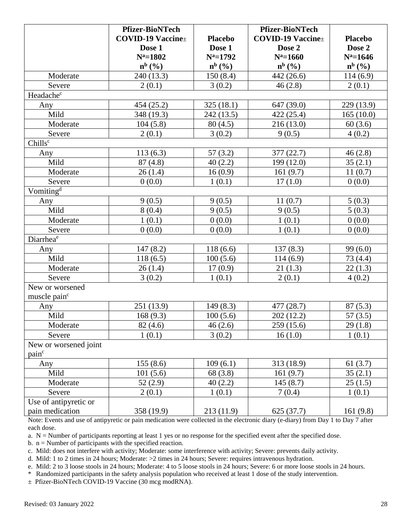|                          | <b>Pfizer-BioNTech</b>        |                         | <b>Pfizer-BioNTech</b>        |                |
|--------------------------|-------------------------------|-------------------------|-------------------------------|----------------|
|                          | <b>COVID-19 Vaccine</b> ±     | <b>Placebo</b>          | <b>COVID-19 Vaccine</b> ±     | <b>Placebo</b> |
|                          | Dose 1                        | Dose 1                  | Dose 2                        | Dose 2         |
|                          | $N^a = 1802$                  | $N^a = 1792$            | $N^a = 1660$                  | $N^a = 1646$   |
|                          | $\mathbf{n}^{\mathrm{b}}$ (%) | $n^{b}$ $(\frac{9}{6})$ | $\mathbf{n}^{\mathrm{b}}$ (%) | $n^{b}$ (%)    |
| Moderate                 | 240 (13.3)                    | 150(8.4)                | 442 (26.6)                    | 114(6.9)       |
| Severe                   | 2(0.1)                        | 3(0.2)                  | 46(2.8)                       | 2(0.1)         |
| Headachec                |                               |                         |                               |                |
| Any                      | 454 (25.2)                    | 325 (18.1)              | 647 (39.0)                    | 229 (13.9)     |
| Mild                     | 348 (19.3)                    | 242 (13.5)              | 422 (25.4)                    | 165(10.0)      |
| Moderate                 | 104(5.8)                      | 80(4.5)                 | 216(13.0)                     | 60(3.6)        |
| Severe                   | 2(0.1)                        | 3(0.2)                  | 9(0.5)                        | 4(0.2)         |
| Chills <sup>c</sup>      |                               |                         |                               |                |
| Any                      | 113(6.3)                      | 57(3.2)                 | 377 (22.7)                    | 46(2.8)        |
| Mild                     | 87(4.8)                       | 40(2.2)                 | 199 (12.0)                    | 35(2.1)        |
| Moderate                 | 26(1.4)                       | 16(0.9)                 | 161(9.7)                      | 11(0.7)        |
| Severe                   | 0(0.0)                        | 1(0.1)                  | 17(1.0)                       | 0(0.0)         |
| Vomiting <sup>d</sup>    |                               |                         |                               |                |
| Any                      | 9(0.5)                        | 9(0.5)                  | 11(0.7)                       | 5(0.3)         |
| Mild                     | 8(0.4)                        | 9(0.5)                  | 9(0.5)                        | 5(0.3)         |
| Moderate                 | 1(0.1)                        | 0(0.0)                  | 1(0.1)                        | 0(0.0)         |
| Severe                   | 0(0.0)                        | 0(0.0)                  | 1(0.1)                        | 0(0.0)         |
| Diarrhea <sup>e</sup>    |                               |                         |                               |                |
| Any                      | 147(8.2)                      | 118(6.6)                | 137(8.3)                      | 99(6.0)        |
| Mild                     | 118(6.5)                      | 100(5.6)                | 114(6.9)                      | 73 (4.4)       |
| Moderate                 | 26(1.4)                       | 17(0.9)                 | 21(1.3)                       | 22(1.3)        |
| Severe                   | 3(0.2)                        | 1(0.1)                  | 2(0.1)                        | 4(0.2)         |
| New or worsened          |                               |                         |                               |                |
| muscle pain <sup>c</sup> |                               |                         |                               |                |
| Any                      | 251 (13.9)                    | 149(8.3)                | 477 (28.7)                    | 87(5.3)        |
| Mild                     | 168(9.3)                      | 100(5.6)                | 202(12.2)                     | 57(3.5)        |
| Moderate                 | 82(4.6)                       | 46(2.6)                 | 259 (15.6)                    | 29(1.8)        |
| Severe                   | 1(0.1)                        | 3(0.2)                  | 16(1.0)                       | 1(0.1)         |
| New or worsened joint    |                               |                         |                               |                |
| pain <sup>c</sup>        |                               |                         |                               |                |
| Any                      | 155(8.6)                      | 109(6.1)                | 313 (18.9)                    | 61(3.7)        |
| Mild                     | 101(5.6)                      | 68 (3.8)                | 161(9.7)                      | 35(2.1)        |
| Moderate                 | 52(2.9)                       | 40(2.2)                 | 145(8.7)                      | 25(1.5)        |
| Severe                   | 2(0.1)                        | 1(0.1)                  | 7(0.4)                        | 1(0.1)         |
| Use of antipyretic or    |                               |                         |                               |                |
| pain medication          | 358 (19.9)                    | 213(11.9)               | 625(37.7)                     | 161(9.8)       |

Note: Events and use of antipyretic or pain medication were collected in the electronic diary (e-diary) from Day 1 to Day 7 after each dose.

a.  $N =$  Number of participants reporting at least 1 yes or no response for the specified event after the specified dose.

b.  $n =$  Number of participants with the specified reaction.

c. Mild: does not interfere with activity; Moderate: some interference with activity; Severe: prevents daily activity.

d. Mild: 1 to 2 times in 24 hours; Moderate: >2 times in 24 hours; Severe: requires intravenous hydration.

e. Mild: 2 to 3 loose stools in 24 hours; Moderate: 4 to 5 loose stools in 24 hours; Severe: 6 or more loose stools in 24 hours.

\* Randomized participants in the safety analysis population who received at least 1 dose of the study intervention.

± Pfizer-BioNTech COVID-19 Vaccine (30 mcg modRNA).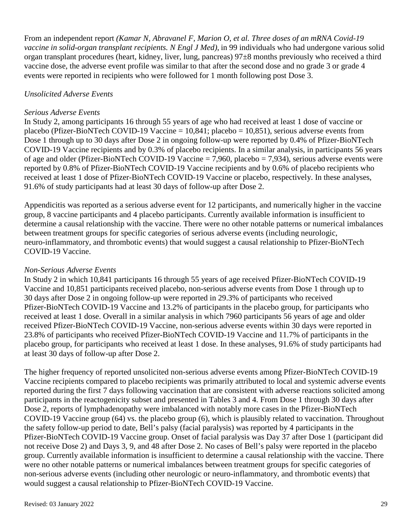From an independent report *(Kamar N, Abravanel F, Marion O, et al. Three doses of an mRNA Covid-19 vaccine in solid-organ transplant recipients. N Engl J Med)*, in 99 individuals who had undergone various solid organ transplant procedures (heart, kidney, liver, lung, pancreas) 97±8 months previously who received a third vaccine dose, the adverse event profile was similar to that after the second dose and no grade 3 or grade 4 events were reported in recipients who were followed for 1 month following post Dose 3.

#### *Unsolicited Adverse Events*

#### *Serious Adverse Events*

In Study 2, among participants 16 through 55 years of age who had received at least 1 dose of vaccine or placebo (Pfizer-BioNTech COVID-19 Vaccine =  $10,841$ ; placebo =  $10,851$ ), serious adverse events from Dose 1 through up to 30 days after Dose 2 in ongoing follow-up were reported by 0.4% of Pfizer-BioNTech COVID-19 Vaccine recipients and by 0.3% of placebo recipients. In a similar analysis, in participants 56 years of age and older (Pfizer-BioNTech COVID-19 Vaccine = 7,960, placebo = 7,934), serious adverse events were reported by 0.8% of Pfizer-BioNTech COVID-19 Vaccine recipients and by 0.6% of placebo recipients who received at least 1 dose of Pfizer-BioNTech COVID-19 Vaccine or placebo, respectively. In these analyses, 91.6% of study participants had at least 30 days of follow-up after Dose 2.

Appendicitis was reported as a serious adverse event for 12 participants, and numerically higher in the vaccine group, 8 vaccine participants and 4 placebo participants. Currently available information is insufficient to determine a causal relationship with the vaccine. There were no other notable patterns or numerical imbalances between treatment groups for specific categories of serious adverse events (including neurologic, neuro-inflammatory, and thrombotic events) that would suggest a causal relationship to Pfizer-BioNTech COVID-19 Vaccine.

#### *Non-Serious Adverse Events*

In Study 2 in which 10,841 participants 16 through 55 years of age received Pfizer-BioNTech COVID-19 Vaccine and 10,851 participants received placebo, non-serious adverse events from Dose 1 through up to 30 days after Dose 2 in ongoing follow-up were reported in 29.3% of participants who received Pfizer-BioNTech COVID-19 Vaccine and 13.2% of participants in the placebo group, for participants who received at least 1 dose. Overall in a similar analysis in which 7960 participants 56 years of age and older received Pfizer-BioNTech COVID-19 Vaccine, non-serious adverse events within 30 days were reported in 23.8% of participants who received Pfizer-BioNTech COVID-19 Vaccine and 11.7% of participants in the placebo group, for participants who received at least 1 dose. In these analyses, 91.6% of study participants had at least 30 days of follow-up after Dose 2.

The higher frequency of reported unsolicited non-serious adverse events among Pfizer-BioNTech COVID-19 Vaccine recipients compared to placebo recipients was primarily attributed to local and systemic adverse events reported during the first 7 days following vaccination that are consistent with adverse reactions solicited among participants in the reactogenicity subset and presented in Tables 3 and 4. From Dose 1 through 30 days after Dose 2, reports of lymphadenopathy were imbalanced with notably more cases in the Pfizer-BioNTech COVID-19 Vaccine group (64) vs. the placebo group (6), which is plausibly related to vaccination. Throughout the safety follow-up period to date, Bell's palsy (facial paralysis) was reported by 4 participants in the Pfizer-BioNTech COVID-19 Vaccine group. Onset of facial paralysis was Day 37 after Dose 1 (participant did not receive Dose 2) and Days 3, 9, and 48 after Dose 2. No cases of Bell's palsy were reported in the placebo group. Currently available information is insufficient to determine a causal relationship with the vaccine. There were no other notable patterns or numerical imbalances between treatment groups for specific categories of non-serious adverse events (including other neurologic or neuro-inflammatory, and thrombotic events) that would suggest a causal relationship to Pfizer-BioNTech COVID-19 Vaccine.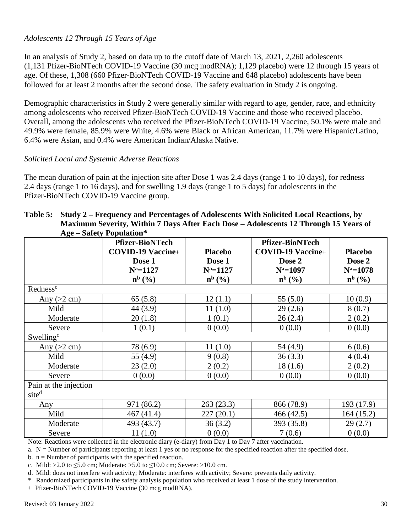## *Adolescents 12 Through 15 Years of Age*

In an analysis of Study 2, based on data up to the cutoff date of March 13, 2021, 2,260 adolescents (1,131 Pfizer-BioNTech COVID-19 Vaccine (30 mcg modRNA); 1,129 placebo) were 12 through 15 years of age. Of these, 1,308 (660 Pfizer-BioNTech COVID-19 Vaccine and 648 placebo) adolescents have been followed for at least 2 months after the second dose. The safety evaluation in Study 2 is ongoing.

Demographic characteristics in Study 2 were generally similar with regard to age, gender, race, and ethnicity among adolescents who received Pfizer-BioNTech COVID-19 Vaccine and those who received placebo. Overall, among the adolescents who received the Pfizer-BioNTech COVID-19 Vaccine, 50.1% were male and 49.9% were female, 85.9% were White, 4.6% were Black or African American, 11.7% were Hispanic/Latino, 6.4% were Asian, and 0.4% were American Indian/Alaska Native.

#### *Solicited Local and Systemic Adverse Reactions*

The mean duration of pain at the injection site after Dose 1 was 2.4 days (range 1 to 10 days), for redness 2.4 days (range 1 to 16 days), and for swelling 1.9 days (range 1 to 5 days) for adolescents in the Pfizer-BioNTech COVID-19 Vaccine group.

| Table 5: Study 2 – Frequency and Percentages of Adolescents With Solicited Local Reactions, by |
|------------------------------------------------------------------------------------------------|
| Maximum Severity, Within 7 Days After Each Dose – Adolescents 12 Through 15 Years of           |
| Age – Safety Population*                                                                       |

| $-55$                 | $\mu$                     |                |                           |                |
|-----------------------|---------------------------|----------------|---------------------------|----------------|
|                       | <b>Pfizer-BioNTech</b>    |                | <b>Pfizer-BioNTech</b>    |                |
|                       | <b>COVID-19 Vaccine</b> ± | <b>Placebo</b> | <b>COVID-19 Vaccine</b> ± | <b>Placebo</b> |
|                       | Dose 1                    | Dose 1         | Dose 2                    | Dose 2         |
|                       | $N^a = 1127$              | $N^a = 1127$   | $N^a = 1097$              | $N^a = 1078$   |
|                       |                           | $n^{b}$ (%)    | $n^{b}$ (%)               |                |
|                       | $n^{b}$ (%)               |                |                           | $n^{b}$ (%)    |
| Redness <sup>c</sup>  |                           |                |                           |                |
| Any $(>2$ cm)         | 65(5.8)                   | 12(1.1)        | 55(5.0)                   | 10(0.9)        |
| Mild                  | 44 (3.9)                  | 11(1.0)        | 29(2.6)                   | 8(0.7)         |
| Moderate              | 20(1.8)                   | 1(0.1)         | 26(2.4)                   | 2(0.2)         |
| Severe                | 1(0.1)                    | 0(0.0)         | 0(0.0)                    | 0(0.0)         |
| Swelling <sup>c</sup> |                           |                |                           |                |
| Any $(>2$ cm)         | 78 (6.9)                  | 11(1.0)        | 54 (4.9)                  | 6(0.6)         |
| Mild                  | 55 (4.9)                  | 9(0.8)         | 36(3.3)                   | 4(0.4)         |
| Moderate              | 23(2.0)                   | 2(0.2)         | 18(1.6)                   | 2(0.2)         |
| Severe                | 0(0.0)                    | 0(0.0)         | 0(0.0)                    | 0(0.0)         |
| Pain at the injection |                           |                |                           |                |
| site <sup>d</sup>     |                           |                |                           |                |
| Any                   | 971 (86.2)                | 263(23.3)      | 866 (78.9)                | 193 (17.9)     |
| Mild                  | 467 (41.4)                | 227(20.1)      | 466 (42.5)                | 164(15.2)      |
| Moderate              | 493 (43.7)                | 36(3.2)        | 393 (35.8)                | 29(2.7)        |
| Severe                | 11(1.0)                   | 0(0.0)         | 7(0.6)                    | 0(0.0)         |

Note: Reactions were collected in the electronic diary (e-diary) from Day 1 to Day 7 after vaccination.

a.  $N =$  Number of participants reporting at least 1 yes or no response for the specified reaction after the specified dose.

b.  $n =$  Number of participants with the specified reaction.

c. Mild: >2.0 to  $\leq 5.0$  cm; Moderate: >5.0 to  $\leq 10.0$  cm; Severe: >10.0 cm.

d. Mild: does not interfere with activity; Moderate: interferes with activity; Severe: prevents daily activity.

\* Randomized participants in the safety analysis population who received at least 1 dose of the study intervention.

± Pfizer-BioNTech COVID-19 Vaccine (30 mcg modRNA).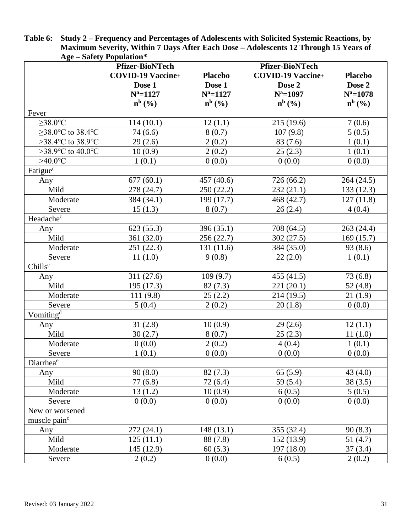| $\Delta g c - \partial a \bar{c}$ of $\bar{c}$ is a set of $\bar{c}$ |                                                     |                |                                                     |                |
|----------------------------------------------------------------------|-----------------------------------------------------|----------------|-----------------------------------------------------|----------------|
|                                                                      | <b>Pfizer-BioNTech</b><br><b>COVID-19 Vaccine</b> ± | <b>Placebo</b> | <b>Pfizer-BioNTech</b><br><b>COVID-19 Vaccine</b> ± | <b>Placebo</b> |
|                                                                      | Dose 1                                              | Dose 1         | Dose 2                                              | Dose 2         |
|                                                                      | $N^a = 1127$                                        | $N^a = 1127$   | $N^a = 1097$                                        | $N^a = 1078$   |
|                                                                      | $n^{b}$ (%)                                         | $n^{b}$ (%)    | $n^{b}$ (%)                                         | $n^{b}$ (%)    |
| Fever                                                                |                                                     |                |                                                     |                |
| $\geq$ 38.0°C                                                        | 114(10.1)                                           | 12(1.1)        | 215 (19.6)                                          | 7(0.6)         |
| $\geq$ 38.0 °C to 38.4 °C                                            | 74(6.6)                                             | 8(0.7)         | 107(9.8)                                            | 5(0.5)         |
| >38.4 $\degree$ C to 38.9 $\degree$ C                                | 29(2.6)                                             | 2(0.2)         | 83 (7.6)                                            | 1(0.1)         |
| >38.9 $\degree$ C to 40.0 $\degree$ C                                | 10(0.9)                                             | 2(0.2)         | 25(2.3)                                             | 1(0.1)         |
| $>40.0$ °C                                                           | 1(0.1)                                              | 0(0.0)         | 0(0.0)                                              | 0(0.0)         |
| Fatigue <sup>c</sup>                                                 |                                                     |                |                                                     |                |
| Any                                                                  | 677(60.1)                                           | 457 (40.6)     | 726 (66.2)                                          | 264 (24.5)     |
| Mild                                                                 | 278 (24.7)                                          | 250 (22.2)     | 232(21.1)                                           | 133(12.3)      |
| Moderate                                                             | 384 (34.1)                                          | 199 (17.7)     | 468 (42.7)                                          | 127(11.8)      |
| Severe                                                               | 15(1.3)                                             | 8(0.7)         | 26(2.4)                                             | 4(0.4)         |
| Headachec                                                            |                                                     |                |                                                     |                |
| Any                                                                  | 623(55.3)                                           | 396 (35.1)     | 708 (64.5)                                          | 263 (24.4)     |
| Mild                                                                 | 361 (32.0)                                          | 256 (22.7)     | 302(27.5)                                           | 169(15.7)      |
| Moderate                                                             | 251(22.3)                                           | 131 (11.6)     | 384 (35.0)                                          | 93(8.6)        |
| Severe                                                               | 11(1.0)                                             | 9(0.8)         | 22(2.0)                                             | 1(0.1)         |
| Chills <sup>c</sup>                                                  |                                                     |                |                                                     |                |
| Any                                                                  | 311(27.6)                                           | 109(9.7)       | 455 (41.5)                                          | 73(6.8)        |
| Mild                                                                 | 195 (17.3)                                          | 82(7.3)        | 221 (20.1)                                          | 52 $(4.8)$     |
| Moderate                                                             | 111(9.8)                                            | 25(2.2)        | 214 (19.5)                                          | 21(1.9)        |
| Severe                                                               | 5(0.4)                                              | 2(0.2)         | 20(1.8)                                             | 0(0.0)         |
| Vomiting <sup>d</sup>                                                |                                                     |                |                                                     |                |
| Any                                                                  | 31(2.8)                                             | 10(0.9)        | 29(2.6)                                             | 12(1.1)        |
| Mild                                                                 | 30(2.7)                                             | 8(0.7)         | 25(2.3)                                             | 11(1.0)        |
| Moderate                                                             | 0(0.0)                                              | 2(0.2)         | 4(0.4)                                              | 1(0.1)         |
| Severe                                                               | 1(0.1)                                              | 0(0.0)         | 0(0.0)                                              | 0(0.0)         |
| Diarrhea <sup>e</sup>                                                |                                                     |                |                                                     |                |
| Any                                                                  | 90(8.0)                                             | 82(7.3)        | 65(5.9)                                             | 43 $(4.0)$     |
| Mild                                                                 | 77(6.8)                                             | 72(6.4)        | 59 (5.4)                                            | 38(3.5)        |
| Moderate                                                             | 13(1.2)                                             | 10(0.9)        | 6(0.5)                                              | 5(0.5)         |
| Severe                                                               | 0(0.0)                                              | 0(0.0)         | 0(0.0)                                              | 0(0.0)         |
| New or worsened                                                      |                                                     |                |                                                     |                |
| muscle pain <sup>c</sup>                                             |                                                     |                |                                                     |                |
| Any                                                                  | 272(24.1)                                           | 148(13.1)      | 355 (32.4)                                          | 90(8.3)        |
| Mild                                                                 | 125(11.1)                                           | 88 (7.8)       | 152(13.9)                                           | 51(4.7)        |
| Moderate                                                             | 145 (12.9)                                          | 60(5.3)        | 197(18.0)                                           | 37(3.4)        |
| Severe                                                               | 2(0.2)                                              | 0(0.0)         | 6(0.5)                                              | 2(0.2)         |
|                                                                      |                                                     |                |                                                     |                |

**Table 6: Study 2 – Frequency and Percentages of Adolescents with Solicited Systemic Reactions, by Maximum Severity, Within 7 Days After Each Dose – Adolescents 12 Through 15 Years of Age – Safety Population\***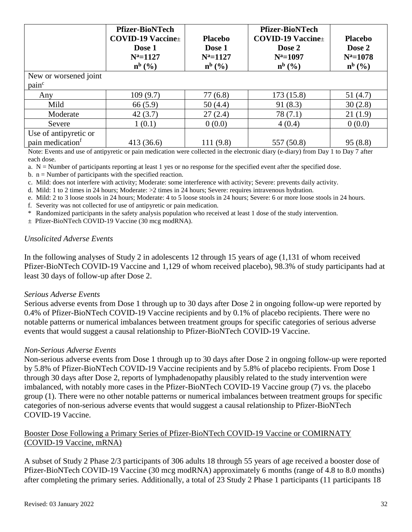|                              | <b>Pfizer-BioNTech</b><br>$COVID-19$ Vaccine $\pm$<br>Dose 1<br>$N^a = 1127$<br>$\mathbf{n}^{\mathrm{b}}$ (%) | <b>Placebo</b><br>Dose 1<br>$N^a = 1127$<br>$\mathbf{n}^{\mathrm{b}}$ (%) | <b>Pfizer-BioNTech</b><br><b>COVID-19 Vaccine</b> ±<br>Dose 2<br>$N^a = 1097$<br>$n^{b}$ (%) | <b>Placebo</b><br>Dose 2<br>$N^a = 1078$<br>$\mathbf{n}^{\mathrm{b}}$ (%) |
|------------------------------|---------------------------------------------------------------------------------------------------------------|---------------------------------------------------------------------------|----------------------------------------------------------------------------------------------|---------------------------------------------------------------------------|
| New or worsened joint        |                                                                                                               |                                                                           |                                                                                              |                                                                           |
| pain <sup>c</sup>            |                                                                                                               |                                                                           |                                                                                              |                                                                           |
| Any                          | 109(9.7)                                                                                                      | 77(6.8)                                                                   | 173(15.8)                                                                                    | 51(4.7)                                                                   |
| Mild                         | 66(5.9)                                                                                                       | 50(4.4)                                                                   | 91(8.3)                                                                                      | 30(2.8)                                                                   |
| Moderate                     | 42(3.7)                                                                                                       | 27(2.4)                                                                   | 78(7.1)                                                                                      | 21(1.9)                                                                   |
| Severe                       | 1(0.1)                                                                                                        | 0(0.0)                                                                    | 4(0.4)                                                                                       | 0(0.0)                                                                    |
| Use of antipyretic or        |                                                                                                               |                                                                           |                                                                                              |                                                                           |
| pain medication <sup>f</sup> | 413 (36.6)<br>$\sim$ $\sim$ $\sim$ $\sim$ $\sim$ $\sim$                                                       | 111 (9.8)                                                                 | 557 (50.8)                                                                                   | 95(8.8)                                                                   |

Note: Events and use of antipyretic or pain medication were collected in the electronic diary (e-diary) from Day 1 to Day 7 after each dose.

a.  $N =$  Number of participants reporting at least 1 yes or no response for the specified event after the specified dose.

b.  $n =$  Number of participants with the specified reaction.

c. Mild: does not interfere with activity; Moderate: some interference with activity; Severe: prevents daily activity.

d. Mild: 1 to 2 times in 24 hours; Moderate: >2 times in 24 hours; Severe: requires intravenous hydration.

e. Mild: 2 to 3 loose stools in 24 hours; Moderate: 4 to 5 loose stools in 24 hours; Severe: 6 or more loose stools in 24 hours.

f. Severity was not collected for use of antipyretic or pain medication.

\* Randomized participants in the safety analysis population who received at least 1 dose of the study intervention.

± Pfizer-BioNTech COVID-19 Vaccine (30 mcg modRNA).

#### *Unsolicited Adverse Events*

In the following analyses of Study 2 in adolescents 12 through 15 years of age (1,131 of whom received Pfizer-BioNTech COVID-19 Vaccine and 1,129 of whom received placebo), 98.3% of study participants had at least 30 days of follow-up after Dose 2.

#### *Serious Adverse Events*

Serious adverse events from Dose 1 through up to 30 days after Dose 2 in ongoing follow-up were reported by 0.4% of Pfizer-BioNTech COVID-19 Vaccine recipients and by 0.1% of placebo recipients. There were no notable patterns or numerical imbalances between treatment groups for specific categories of serious adverse events that would suggest a causal relationship to Pfizer-BioNTech COVID-19 Vaccine.

#### *Non-Serious Adverse Events*

Non-serious adverse events from Dose 1 through up to 30 days after Dose 2 in ongoing follow-up were reported by 5.8% of Pfizer-BioNTech COVID-19 Vaccine recipients and by 5.8% of placebo recipients. From Dose 1 through 30 days after Dose 2, reports of lymphadenopathy plausibly related to the study intervention were imbalanced, with notably more cases in the Pfizer-BioNTech COVID-19 Vaccine group (7) vs. the placebo group (1). There were no other notable patterns or numerical imbalances between treatment groups for specific categories of non-serious adverse events that would suggest a causal relationship to Pfizer-BioNTech COVID-19 Vaccine.

#### Booster Dose Following a Primary Series of Pfizer-BioNTech COVID-19 Vaccine or COMIRNATY (COVID-19 Vaccine, mRNA)

A subset of Study 2 Phase 2/3 participants of 306 adults 18 through 55 years of age received a booster dose of Pfizer-BioNTech COVID-19 Vaccine (30 mcg modRNA) approximately 6 months (range of 4.8 to 8.0 months) after completing the primary series. Additionally, a total of 23 Study 2 Phase 1 participants (11 participants 18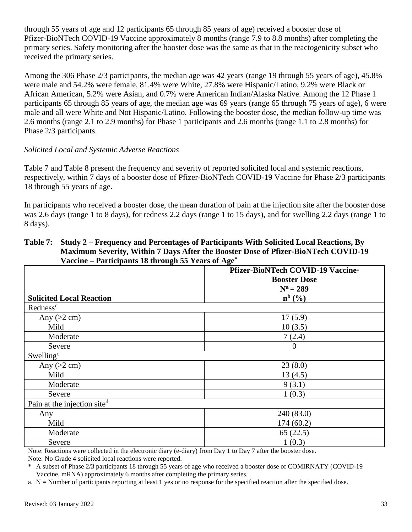through 55 years of age and 12 participants 65 through 85 years of age) received a booster dose of Pfizer-BioNTech COVID-19 Vaccine approximately 8 months (range 7.9 to 8.8 months) after completing the primary series. Safety monitoring after the booster dose was the same as that in the reactogenicity subset who received the primary series.

Among the 306 Phase 2/3 participants, the median age was 42 years (range 19 through 55 years of age), 45.8% were male and 54.2% were female, 81.4% were White, 27.8% were Hispanic/Latino, 9.2% were Black or African American, 5.2% were Asian, and 0.7% were American Indian/Alaska Native. Among the 12 Phase 1 participants 65 through 85 years of age, the median age was 69 years (range 65 through 75 years of age), 6 were male and all were White and Not Hispanic/Latino. Following the booster dose, the median follow-up time was 2.6 months (range 2.1 to 2.9 months) for Phase 1 participants and 2.6 months (range 1.1 to 2.8 months) for Phase 2/3 participants.

#### *Solicited Local and Systemic Adverse Reactions*

Table 7 and Table 8 present the frequency and severity of reported solicited local and systemic reactions, respectively, within 7 days of a booster dose of Pfizer-BioNTech COVID-19 Vaccine for Phase 2/3 participants 18 through 55 years of age.

In participants who received a booster dose, the mean duration of pain at the injection site after the booster dose was 2.6 days (range 1 to 8 days), for redness 2.2 days (range 1 to 15 days), and for swelling 2.2 days (range 1 to 8 days).

#### **Table 7: Study 2 – Frequency and Percentages of Participants With Solicited Local Reactions, By Maximum Severity, Within 7 Days After the Booster Dose of Pfizer-BioNTech COVID-19 Vaccine – Participants 18 through 55 Years of Age\***

|                                 | Pfizer-BioNTech COVID-19 Vaccine <sup>±</sup> |  |  |
|---------------------------------|-----------------------------------------------|--|--|
|                                 | <b>Booster Dose</b>                           |  |  |
|                                 | $N^a = 289$                                   |  |  |
| <b>Solicited Local Reaction</b> | $n^{b}$ (%)                                   |  |  |
| Redness <sup>c</sup>            |                                               |  |  |
| Any $(>2$ cm)                   | 17(5.9)                                       |  |  |
| Mild                            | 10(3.5)                                       |  |  |
| Moderate                        | 7(2.4)                                        |  |  |
| Severe                          | $\theta$                                      |  |  |
| Swelling <sup>c</sup>           |                                               |  |  |
| Any $(>2$ cm)                   | 23(8.0)                                       |  |  |
| Mild                            | 13(4.5)                                       |  |  |
| Moderate                        | 9(3.1)                                        |  |  |
| Severe                          | 1(0.3)                                        |  |  |
| Pain at the injection sited     |                                               |  |  |
| Any                             | 240(83.0)                                     |  |  |
| Mild                            | 174(60.2)                                     |  |  |
| Moderate                        | 65(22.5)                                      |  |  |
| Severe                          | 1(0.3)                                        |  |  |

Note: Reactions were collected in the electronic diary (e-diary) from Day 1 to Day 7 after the booster dose. Note: No Grade 4 solicited local reactions were reported.

A subset of Phase 2/3 participants 18 through 55 years of age who received a booster dose of COMIRNATY (COVID-19 Vaccine, mRNA) approximately 6 months after completing the primary series.

a.  $N =$  Number of participants reporting at least 1 yes or no response for the specified reaction after the specified dose.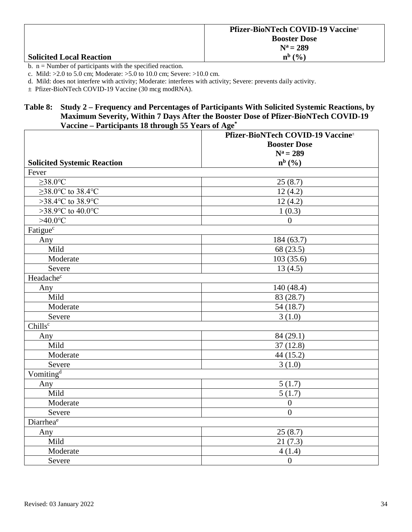|                                 | <b>Pfizer-BioNTech COVID-19 Vaccine</b> |
|---------------------------------|-----------------------------------------|
|                                 | <b>Booster Dose</b>                     |
|                                 | $N^a = 289$                             |
| <b>Solicited Local Reaction</b> | $n^{b}$ $\left(\frac{0}{0}\right)$      |

b.  $n =$  Number of participants with the specified reaction.

c. Mild: >2.0 to 5.0 cm; Moderate: >5.0 to 10.0 cm; Severe: >10.0 cm.

d. Mild: does not interfere with activity; Moderate: interferes with activity; Severe: prevents daily activity.

± Pfizer-BioNTech COVID-19 Vaccine (30 mcg modRNA).

#### **Table 8: Study 2 – Frequency and Percentages of Participants With Solicited Systemic Reactions, by Maximum Severity, Within 7 Days After the Booster Dose of Pfizer-BioNTech COVID-19 Vaccine – Participants 18 through 55 Years of Age\***

| $\sim$ at depends to the ough co      | Pfizer-BioNTech COVID-19 Vaccine <sup>±</sup><br><b>Booster Dose</b> |  |
|---------------------------------------|----------------------------------------------------------------------|--|
|                                       | $N^a = 289$                                                          |  |
| <b>Solicited Systemic Reaction</b>    | $n^{b}$ (%)                                                          |  |
| Fever                                 |                                                                      |  |
| $\geq$ 38.0°C                         | 25(8.7)                                                              |  |
| $\geq$ 38.0°C to 38.4°C               | 12(4.2)                                                              |  |
| >38.4°C to 38.9°C                     | 12(4.2)                                                              |  |
| >38.9 $\degree$ C to 40.0 $\degree$ C | 1(0.3)                                                               |  |
| $>40.0$ °C                            | $\Omega$                                                             |  |
| Fatigue <sup>c</sup>                  |                                                                      |  |
| Any                                   | 184 (63.7)                                                           |  |
| Mild                                  | 68 (23.5)                                                            |  |
| Moderate                              | 103(35.6)                                                            |  |
| Severe                                | 13(4.5)                                                              |  |
| Headachec                             |                                                                      |  |
| Any                                   | 140 (48.4)                                                           |  |
| Mild                                  | 83 (28.7)                                                            |  |
| Moderate                              | 54 (18.7)                                                            |  |
| Severe                                | 3(1.0)                                                               |  |
| Chillsc                               |                                                                      |  |
| Any                                   | 84(29.1)                                                             |  |
| Mild                                  | 37(12.8)                                                             |  |
| Moderate                              | 44 (15.2)                                                            |  |
| Severe                                | 3(1.0)                                                               |  |
| Vomiting <sup>d</sup>                 |                                                                      |  |
| Any                                   | 5(1.7)                                                               |  |
| Mild                                  | 5(1.7)                                                               |  |
| Moderate                              | $\overline{0}$                                                       |  |
| Severe                                | $\overline{0}$                                                       |  |
| Diarrhea <sup>e</sup>                 |                                                                      |  |
| Any                                   | 25(8.7)                                                              |  |
| Mild                                  | 21(7.3)                                                              |  |
| Moderate                              | 4(1.4)                                                               |  |
| Severe                                | $\boldsymbol{0}$                                                     |  |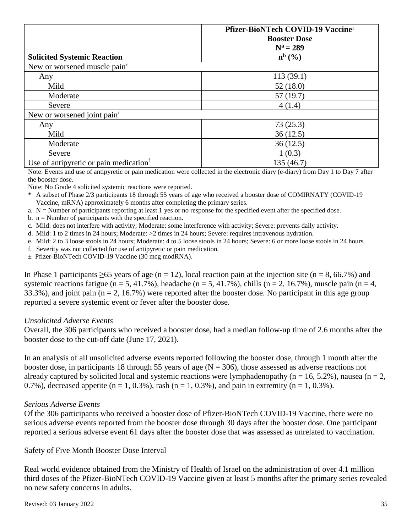|                                                    | Pfizer-BioNTech COVID-19 Vaccine <sup>±</sup> |
|----------------------------------------------------|-----------------------------------------------|
|                                                    | <b>Booster Dose</b>                           |
|                                                    | $N^a = 289$                                   |
| <b>Solicited Systemic Reaction</b>                 | $n^{b}$ $(\frac{6}{6})$                       |
| New or worsened muscle pain <sup>c</sup>           |                                               |
| Any                                                | 113(39.1)                                     |
| Mild                                               | 52(18.0)                                      |
| Moderate                                           | 57(19.7)                                      |
| Severe                                             | 4(1.4)                                        |
| New or worsened joint pain <sup>c</sup>            |                                               |
| Any                                                | 73(25.3)                                      |
| Mild                                               | 36(12.5)                                      |
| Moderate                                           | 36(12.5)                                      |
| Severe                                             | 1(0.3)                                        |
| Use of antipyretic or pain medication <sup>f</sup> | 135 (46.7)                                    |

Note: Events and use of antipyretic or pain medication were collected in the electronic diary (e-diary) from Day 1 to Day 7 after the booster dose.

Note: No Grade 4 solicited systemic reactions were reported.

- \* A subset of Phase 2/3 participants 18 through 55 years of age who received a booster dose of COMIRNATY (COVID-19 Vaccine, mRNA) approximately 6 months after completing the primary series.
- a.  $N =$  Number of participants reporting at least 1 yes or no response for the specified event after the specified dose.
- b.  $n =$  Number of participants with the specified reaction.
- c. Mild: does not interfere with activity; Moderate: some interference with activity; Severe: prevents daily activity.
- d. Mild: 1 to 2 times in 24 hours; Moderate: >2 times in 24 hours; Severe: requires intravenous hydration.
- e. Mild: 2 to 3 loose stools in 24 hours; Moderate: 4 to 5 loose stools in 24 hours; Severe: 6 or more loose stools in 24 hours.
- f. Severity was not collected for use of antipyretic or pain medication.
- ± Pfizer-BioNTech COVID-19 Vaccine (30 mcg modRNA).

In Phase 1 participants  $\geq 65$  years of age (n = 12), local reaction pain at the injection site (n = 8, 66.7%) and systemic reactions fatigue (n = 5, 41.7%), headache (n = 5, 41.7%), chills (n = 2, 16.7%), muscle pain (n = 4, 33.3%), and joint pain ( $n = 2$ , 16.7%) were reported after the booster dose. No participant in this age group reported a severe systemic event or fever after the booster dose.

#### *Unsolicited Adverse Events*

Overall, the 306 participants who received a booster dose, had a median follow-up time of 2.6 months after the booster dose to the cut-off date (June 17, 2021).

In an analysis of all unsolicited adverse events reported following the booster dose, through 1 month after the booster dose, in participants 18 through 55 years of age  $(N = 306)$ , those assessed as adverse reactions not already captured by solicited local and systemic reactions were lymphadenopathy ( $n = 16, 5.2\%$ ), nausea ( $n = 2$ , 0.7%), decreased appetite ( $n = 1, 0.3$ %), rash ( $n = 1, 0.3$ %), and pain in extremity ( $n = 1, 0.3$ %).

#### *Serious Adverse Events*

Of the 306 participants who received a booster dose of Pfizer-BioNTech COVID-19 Vaccine, there were no serious adverse events reported from the booster dose through 30 days after the booster dose. One participant reported a serious adverse event 61 days after the booster dose that was assessed as unrelated to vaccination.

#### Safety of Five Month Booster Dose Interval

Real world evidence obtained from the Ministry of Health of Israel on the administration of over 4.1 million third doses of the Pfizer-BioNTech COVID-19 Vaccine given at least 5 months after the primary series revealed no new safety concerns in adults.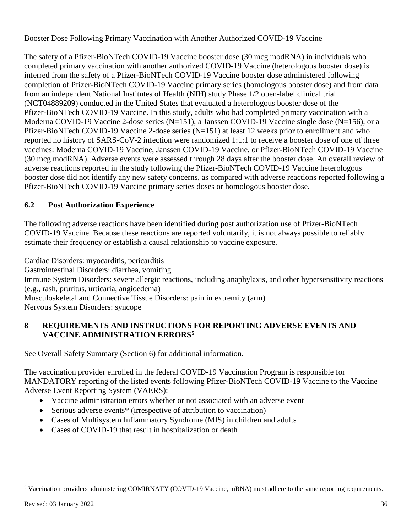#### Booster Dose Following Primary Vaccination with Another Authorized COVID-19 Vaccine

The safety of a Pfizer-BioNTech COVID-19 Vaccine booster dose (30 mcg modRNA) in individuals who completed primary vaccination with another authorized COVID-19 Vaccine (heterologous booster dose) is inferred from the safety of a Pfizer-BioNTech COVID-19 Vaccine booster dose administered following completion of Pfizer-BioNTech COVID-19 Vaccine primary series (homologous booster dose) and from data from an independent National Institutes of Health (NIH) study Phase 1/2 open-label clinical trial (NCT04889209) conducted in the United States that evaluated a heterologous booster dose of the Pfizer-BioNTech COVID-19 Vaccine. In this study, adults who had completed primary vaccination with a Moderna COVID-19 Vaccine 2-dose series (N=151), a Janssen COVID-19 Vaccine single dose (N=156), or a Pfizer-BioNTech COVID-19 Vaccine 2-dose series (N=151) at least 12 weeks prior to enrollment and who reported no history of SARS-CoV-2 infection were randomized 1:1:1 to receive a booster dose of one of three vaccines: Moderna COVID-19 Vaccine, Janssen COVID-19 Vaccine, or Pfizer-BioNTech COVID-19 Vaccine (30 mcg modRNA). Adverse events were assessed through 28 days after the booster dose. An overall review of adverse reactions reported in the study following the Pfizer-BioNTech COVID-19 Vaccine heterologous booster dose did not identify any new safety concerns, as compared with adverse reactions reported following a Pfizer-BioNTech COVID-19 Vaccine primary series doses or homologous booster dose.

# **6.2 Post Authorization Experience**

The following adverse reactions have been identified during post authorization use of Pfizer-BioNTech COVID-19 Vaccine. Because these reactions are reported voluntarily, it is not always possible to reliably estimate their frequency or establish a causal relationship to vaccine exposure.

Cardiac Disorders: myocarditis, pericarditis Gastrointestinal Disorders: diarrhea, vomiting Immune System Disorders: severe allergic reactions, including anaphylaxis, and other hypersensitivity reactions (e.g., rash, pruritus, urticaria, angioedema) Musculoskeletal and Connective Tissue Disorders: pain in extremity (arm) Nervous System Disorders: syncope

## **8 REQUIREMENTS AND INSTRUCTIONS FOR REPORTING ADVERSE EVENTS AND VACCINE ADMINISTRATION ERRORS[5](#page-35-0)**

See Overall Safety Summary (Section 6) for additional information.

The vaccination provider enrolled in the federal COVID-19 Vaccination Program is responsible for MANDATORY reporting of the listed events following Pfizer-BioNTech COVID-19 Vaccine to the Vaccine Adverse Event Reporting System (VAERS):

- Vaccine administration errors whether or not associated with an adverse event
- Serious adverse events<sup>\*</sup> (irrespective of attribution to vaccination)
- Cases of Multisystem Inflammatory Syndrome (MIS) in children and adults
- Cases of COVID-19 that result in hospitalization or death

<span id="page-35-0"></span> <sup>5</sup> Vaccination providers administering COMIRNATY (COVID-19 Vaccine, mRNA) must adhere to the same reporting requirements.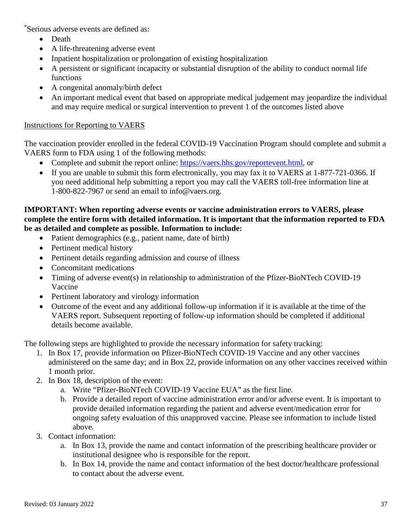\* Serious adverse events are defined as:

- Death
- A life-threatening adverse event
- Inpatient hospitalization or prolongation of existing hospitalization
- A persistent or significant incapacity or substantial disruption of the ability to conduct normal life functions
- A congenital anomaly/birth defect
- An important medical event that based on appropriate medical judgement may jeopardize the individual and may require medical or surgical intervention to prevent 1 of the outcomes listed above

#### Instructions for Reporting to VAERS

The vaccination provider enrolled in the federal COVID-19 Vaccination Program should complete and submit a VAERS form to FDA using 1 of the following methods:

- Complete and submit the report online: [https://vaers.hhs.gov/reportevent.html,](https://vaers.hhs.gov/reportevent.html) or
- If you are unable to submit this form electronically, you may fax it to VAERS at 1-877-721-0366. If you need additional help submitting a report you may call the VAERS toll-free information line at 1-800-822-7967 or send an email to info@vaers.org.

#### **IMPORTANT: When reporting adverse events or vaccine administration errors to VAERS, please complete the entire form with detailed information. It is important that the information reported to FDA be as detailed and complete as possible. Information to include:**

- Patient demographics (e.g., patient name, date of birth)
- Pertinent medical history
- Pertinent details regarding admission and course of illness
- Concomitant medications
- Timing of adverse event(s) in relationship to administration of the Pfizer-BioNTech COVID-19 Vaccine
- Pertinent laboratory and virology information
- Outcome of the event and any additional follow-up information if it is available at the time of the VAERS report. Subsequent reporting of follow-up information should be completed if additional details become available.

The following steps are highlighted to provide the necessary information for safety tracking:

- 1. In Box 17, provide information on Pfizer-BioNTech COVID-19 Vaccine and any other vaccines administered on the same day; and in Box 22, provide information on any other vaccines received within 1 month prior.
- 2. In Box 18, description of the event:
	- a. Write "Pfizer-BioNTech COVID-19 Vaccine EUA" as the first line.
	- b. Provide a detailed report of vaccine administration error and/or adverse event. It is important to provide detailed information regarding the patient and adverse event/medication error for ongoing safety evaluation of this unapproved vaccine. Please see information to include listed above.
- 3. Contact information:
	- a. In Box 13, provide the name and contact information of the prescribing healthcare provider or institutional designee who is responsible for the report.
	- b. In Box 14, provide the name and contact information of the best doctor/healthcare professional to contact about the adverse event.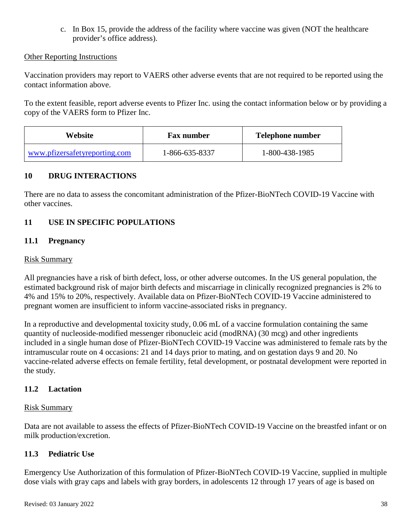c. In Box 15, provide the address of the facility where vaccine was given (NOT the healthcare provider's office address).

#### Other Reporting Instructions

Vaccination providers may report to VAERS other adverse events that are not required to be reported using the contact information above.

To the extent feasible, report adverse events to Pfizer Inc. using the contact information below or by providing a copy of the VAERS form to Pfizer Inc.

| Website                       | <b>Fax number</b> | Telephone number |  |
|-------------------------------|-------------------|------------------|--|
| www.pfizersafetyreporting.com | 1-866-635-8337    | 1-800-438-1985   |  |

#### **10 DRUG INTERACTIONS**

There are no data to assess the concomitant administration of the Pfizer-BioNTech COVID-19 Vaccine with other vaccines.

## **11 USE IN SPECIFIC POPULATIONS**

#### **11.1 Pregnancy**

#### Risk Summary

All pregnancies have a risk of birth defect, loss, or other adverse outcomes. In the US general population, the estimated background risk of major birth defects and miscarriage in clinically recognized pregnancies is 2% to 4% and 15% to 20%, respectively. Available data on Pfizer-BioNTech COVID-19 Vaccine administered to pregnant women are insufficient to inform vaccine-associated risks in pregnancy.

In a reproductive and developmental toxicity study, 0.06 mL of a vaccine formulation containing the same quantity of nucleoside-modified messenger ribonucleic acid (modRNA) (30 mcg) and other ingredients included in a single human dose of Pfizer-BioNTech COVID-19 Vaccine was administered to female rats by the intramuscular route on 4 occasions: 21 and 14 days prior to mating, and on gestation days 9 and 20. No vaccine-related adverse effects on female fertility, fetal development, or postnatal development were reported in the study.

#### **11.2 Lactation**

#### Risk Summary

Data are not available to assess the effects of Pfizer-BioNTech COVID-19 Vaccine on the breastfed infant or on milk production/excretion.

#### **11.3 Pediatric Use**

Emergency Use Authorization of this formulation of Pfizer-BioNTech COVID-19 Vaccine, supplied in multiple dose vials with gray caps and labels with gray borders, in adolescents 12 through 17 years of age is based on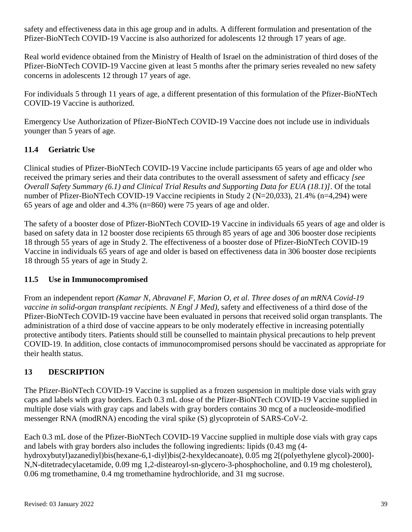safety and effectiveness data in this age group and in adults. A different formulation and presentation of the Pfizer-BioNTech COVID-19 Vaccine is also authorized for adolescents 12 through 17 years of age.

Real world evidence obtained from the Ministry of Health of Israel on the administration of third doses of the Pfizer-BioNTech COVID-19 Vaccine given at least 5 months after the primary series revealed no new safety concerns in adolescents 12 through 17 years of age.

For individuals 5 through 11 years of age, a different presentation of this formulation of the Pfizer-BioNTech COVID-19 Vaccine is authorized.

Emergency Use Authorization of Pfizer-BioNTech COVID-19 Vaccine does not include use in individuals younger than 5 years of age.

# **11.4 Geriatric Use**

Clinical studies of Pfizer-BioNTech COVID-19 Vaccine include participants 65 years of age and older who received the primary series and their data contributes to the overall assessment of safety and efficacy *[see Overall Safety Summary (6.1) and Clinical Trial Results and Supporting Data for EUA (18.1)]*. Of the total number of Pfizer-BioNTech COVID-19 Vaccine recipients in Study 2 (N=20,033), 21.4% (n=4,294) were 65 years of age and older and 4.3% (n=860) were 75 years of age and older.

The safety of a booster dose of Pfizer-BioNTech COVID-19 Vaccine in individuals 65 years of age and older is based on safety data in 12 booster dose recipients 65 through 85 years of age and 306 booster dose recipients 18 through 55 years of age in Study 2. The effectiveness of a booster dose of Pfizer-BioNTech COVID-19 Vaccine in individuals 65 years of age and older is based on effectiveness data in 306 booster dose recipients 18 through 55 years of age in Study 2.

## **11.5 Use in Immunocompromised**

From an independent report *(Kamar N, Abravanel F, Marion O, et al. Three doses of an mRNA Covid-19 vaccine in solid-organ transplant recipients. N Engl J Med)*, safety and effectiveness of a third dose of the Pfizer-BioNTech COVID-19 vaccine have been evaluated in persons that received solid organ transplants. The administration of a third dose of vaccine appears to be only moderately effective in increasing potentially protective antibody titers. Patients should still be counselled to maintain physical precautions to help prevent COVID-19. In addition, close contacts of immunocompromised persons should be vaccinated as appropriate for their health status.

# **13 DESCRIPTION**

The Pfizer-BioNTech COVID-19 Vaccine is supplied as a frozen suspension in multiple dose vials with gray caps and labels with gray borders. Each 0.3 mL dose of the Pfizer-BioNTech COVID-19 Vaccine supplied in multiple dose vials with gray caps and labels with gray borders contains 30 mcg of a nucleoside-modified messenger RNA (modRNA) encoding the viral spike (S) glycoprotein of SARS-CoV-2.

Each 0.3 mL dose of the Pfizer-BioNTech COVID-19 Vaccine supplied in multiple dose vials with gray caps and labels with gray borders also includes the following ingredients: lipids (0.43 mg (4 hydroxybutyl)azanediyl)bis(hexane-6,1-diyl)bis(2-hexyldecanoate), 0.05 mg 2[(polyethylene glycol)-2000]- N,N-ditetradecylacetamide, 0.09 mg 1,2-distearoyl-sn-glycero-3-phosphocholine, and 0.19 mg cholesterol), 0.06 mg tromethamine, 0.4 mg tromethamine hydrochloride, and 31 mg sucrose.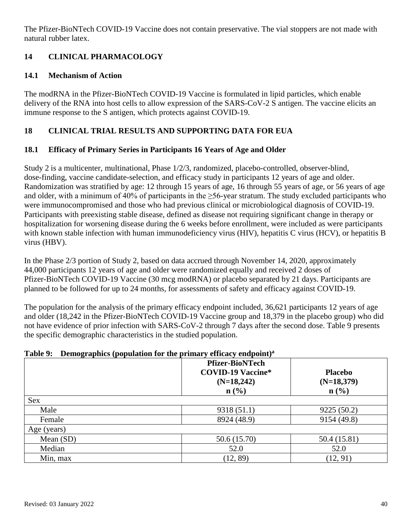The Pfizer-BioNTech COVID-19 Vaccine does not contain preservative. The vial stoppers are not made with natural rubber latex.

# **14 CLINICAL PHARMACOLOGY**

## **14.1 Mechanism of Action**

The modRNA in the Pfizer-BioNTech COVID-19 Vaccine is formulated in lipid particles, which enable delivery of the RNA into host cells to allow expression of the SARS-CoV-2 S antigen. The vaccine elicits an immune response to the S antigen, which protects against COVID-19.

## **18 CLINICAL TRIAL RESULTS AND SUPPORTING DATA FOR EUA**

## **18.1 Efficacy of Primary Series in Participants 16 Years of Age and Older**

Study 2 is a multicenter, multinational, Phase 1/2/3, randomized, placebo-controlled, observer-blind, dose-finding, vaccine candidate-selection, and efficacy study in participants 12 years of age and older. Randomization was stratified by age: 12 through 15 years of age, 16 through 55 years of age, or 56 years of age and older, with a minimum of 40% of participants in the  $\geq$ 56-year stratum. The study excluded participants who were immunocompromised and those who had previous clinical or microbiological diagnosis of COVID-19. Participants with preexisting stable disease, defined as disease not requiring significant change in therapy or hospitalization for worsening disease during the 6 weeks before enrollment, were included as were participants with known stable infection with human immunodeficiency virus (HIV), hepatitis C virus (HCV), or hepatitis B virus (HBV).

In the Phase 2/3 portion of Study 2, based on data accrued through November 14, 2020, approximately 44,000 participants 12 years of age and older were randomized equally and received 2 doses of Pfizer-BioNTech COVID-19 Vaccine (30 mcg modRNA) or placebo separated by 21 days. Participants are planned to be followed for up to 24 months, for assessments of safety and efficacy against COVID-19.

The population for the analysis of the primary efficacy endpoint included, 36,621 participants 12 years of age and older (18,242 in the Pfizer-BioNTech COVID-19 Vaccine group and 18,379 in the placebo group) who did not have evidence of prior infection with SARS-CoV-2 through 7 days after the second dose. Table 9 presents the specific demographic characteristics in the studied population.

#### **Table 9: Demographics (population for the primary efficacy endpoint)a**

|             | <b>Pfizer-BioNTech</b><br><b>COVID-19 Vaccine*</b><br>$(N=18,242)$<br>$n\left(\frac{0}{0}\right)$ | <b>Placebo</b><br>$(N=18,379)$<br>$n\left(\frac{0}{0}\right)$ |
|-------------|---------------------------------------------------------------------------------------------------|---------------------------------------------------------------|
| <b>Sex</b>  |                                                                                                   |                                                               |
| Male        | 9318 (51.1)                                                                                       | 9225 (50.2)                                                   |
| Female      | 8924 (48.9)                                                                                       | 9154 (49.8)                                                   |
| Age (years) |                                                                                                   |                                                               |
| Mean $(SD)$ | 50.6 (15.70)                                                                                      | 50.4 (15.81)                                                  |
| Median      | 52.0                                                                                              | 52.0                                                          |
| Min, max    | (12, 89)                                                                                          | (12, 91)                                                      |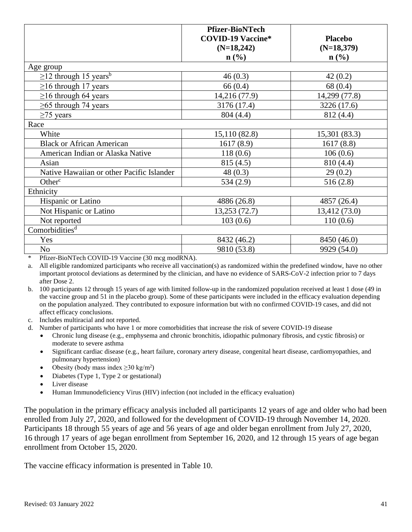|                                           | <b>Pfizer-BioNTech</b><br><b>COVID-19 Vaccine*</b><br>$(N=18,242)$<br>$\mathbf{n}(\%)$ | <b>Placebo</b><br>$(N=18,379)$<br>$\mathbf{n}(\%)$ |
|-------------------------------------------|----------------------------------------------------------------------------------------|----------------------------------------------------|
| Age group                                 |                                                                                        |                                                    |
| $\geq$ 12 through 15 years <sup>b</sup>   | 46(0.3)                                                                                | 42(0.2)                                            |
| $\geq$ 16 through 17 years                | 66(0.4)                                                                                | 68 (0.4)                                           |
| $\geq$ 16 through 64 years                | 14,216 (77.9)                                                                          | 14,299 (77.8)                                      |
| $\geq$ 65 through 74 years                | 3176 (17.4)                                                                            | 3226 (17.6)                                        |
| $\geq$ 75 years                           | 804 (4.4)                                                                              | 812 (4.4)                                          |
| Race                                      |                                                                                        |                                                    |
| White                                     | 15,110 (82.8)                                                                          | 15,301 (83.3)                                      |
| <b>Black or African American</b>          | 1617(8.9)                                                                              | 1617(8.8)                                          |
| American Indian or Alaska Native          | 118(0.6)                                                                               | 106(0.6)                                           |
| Asian                                     | 815 (4.5)                                                                              | 810 (4.4)                                          |
| Native Hawaiian or other Pacific Islander | 48(0.3)                                                                                | 29(0.2)                                            |
| Other <sup>c</sup>                        | 534(2.9)                                                                               | 516(2.8)                                           |
| Ethnicity                                 |                                                                                        |                                                    |
| Hispanic or Latino                        | 4886 (26.8)                                                                            | 4857 (26.4)                                        |
| Not Hispanic or Latino                    | 13,253 (72.7)                                                                          | 13,412 (73.0)                                      |
| Not reported                              | 103(0.6)                                                                               | 110(0.6)                                           |
| Comorbidities <sup>d</sup>                |                                                                                        |                                                    |
| Yes                                       | 8432 (46.2)                                                                            | 8450 (46.0)                                        |
| N <sub>o</sub>                            | 9810 (53.8)                                                                            | 9929 (54.0)                                        |

\* Pfizer-BioNTech COVID-19 Vaccine (30 mcg modRNA).

a. All eligible randomized participants who receive all vaccination(s) as randomized within the predefined window, have no other important protocol deviations as determined by the clinician, and have no evidence of SARS-CoV-2 infection prior to 7 days after Dose 2.

- b. 100 participants 12 through 15 years of age with limited follow-up in the randomized population received at least 1 dose (49 in the vaccine group and 51 in the placebo group). Some of these participants were included in the efficacy evaluation depending on the population analyzed. They contributed to exposure information but with no confirmed COVID-19 cases, and did not affect efficacy conclusions.
- c. Includes multiracial and not reported.
- d. Number of participants who have 1 or more comorbidities that increase the risk of severe COVID-19 disease
	- Chronic lung disease (e.g., emphysema and chronic bronchitis, idiopathic pulmonary fibrosis, and cystic fibrosis) or moderate to severe asthma
	- Significant cardiac disease (e.g., heart failure, coronary artery disease, congenital heart disease, cardiomyopathies, and pulmonary hypertension)
	- Obesity (body mass index  $\geq$ 30 kg/m<sup>2</sup>)
	- Diabetes (Type 1, Type 2 or gestational)
	- Liver disease
	- Human Immunodeficiency Virus (HIV) infection (not included in the efficacy evaluation)

The population in the primary efficacy analysis included all participants 12 years of age and older who had been enrolled from July 27, 2020, and followed for the development of COVID-19 through November 14, 2020. Participants 18 through 55 years of age and 56 years of age and older began enrollment from July 27, 2020, 16 through 17 years of age began enrollment from September 16, 2020, and 12 through 15 years of age began enrollment from October 15, 2020.

The vaccine efficacy information is presented in Table 10.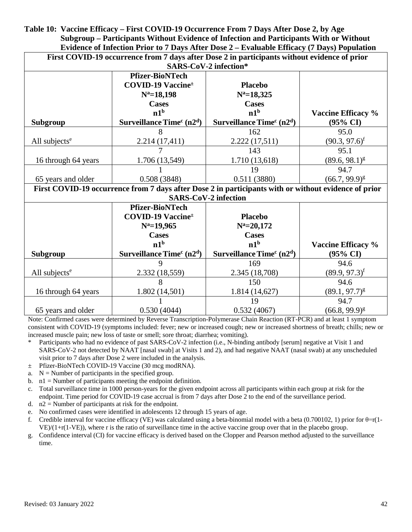**Table 10: Vaccine Efficacy – First COVID-19 Occurrence From 7 Days After Dose 2, by Age Subgroup – Participants Without Evidence of Infection and Participants With or Without Evidence of Infection Prior to 7 Days After Dose 2 – Evaluable Efficacy (7 Days) Population**

| First COVID-19 occurrence from 7 days after Dose 2 in participants without evidence of prior<br>SARS-CoV-2 infection* |                                                                                                      |                             |                           |  |  |  |  |
|-----------------------------------------------------------------------------------------------------------------------|------------------------------------------------------------------------------------------------------|-----------------------------|---------------------------|--|--|--|--|
|                                                                                                                       | <b>Pfizer-BioNTech</b>                                                                               |                             |                           |  |  |  |  |
|                                                                                                                       | <b>COVID-19 Vaccine</b> <sup>±</sup>                                                                 | <b>Placebo</b>              |                           |  |  |  |  |
|                                                                                                                       | $N^a = 18,198$                                                                                       | $N^a = 18,325$              |                           |  |  |  |  |
|                                                                                                                       | <b>Cases</b>                                                                                         | <b>Cases</b>                |                           |  |  |  |  |
|                                                                                                                       | n1 <sup>b</sup>                                                                                      | n1 <sup>b</sup>             | Vaccine Efficacy %        |  |  |  |  |
| <b>Subgroup</b>                                                                                                       | Surveillance Time $c(n2d)$                                                                           | Surveillance Time $c(n2d)$  | $(95\% \text{ CI})$       |  |  |  |  |
|                                                                                                                       | 8                                                                                                    | 162                         | 95.0                      |  |  |  |  |
| All subjects <sup>e</sup>                                                                                             | 2.214(17,411)                                                                                        | 2.222 (17,511)              | $(90.3, 97.6)^f$          |  |  |  |  |
|                                                                                                                       | 7                                                                                                    | 143                         | 95.1                      |  |  |  |  |
| 16 through 64 years                                                                                                   | 1.706 (13,549)                                                                                       | 1.710 (13,618)              | $(89.6, 98.1)^g$          |  |  |  |  |
|                                                                                                                       |                                                                                                      | 19                          | 94.7                      |  |  |  |  |
| 65 years and older                                                                                                    | 0.508(3848)                                                                                          | 0.511(3880)                 | $(66.7, 99.9)^g$          |  |  |  |  |
|                                                                                                                       | First COVID-19 occurrence from 7 days after Dose 2 in participants with or without evidence of prior |                             |                           |  |  |  |  |
|                                                                                                                       |                                                                                                      | <b>SARS-CoV-2 infection</b> |                           |  |  |  |  |
|                                                                                                                       | <b>Pfizer-BioNTech</b>                                                                               |                             |                           |  |  |  |  |
|                                                                                                                       | <b>COVID-19 Vaccine</b> <sup>±</sup>                                                                 | <b>Placebo</b>              |                           |  |  |  |  |
|                                                                                                                       | $N^a = 19,965$                                                                                       | $N^a = 20,172$              |                           |  |  |  |  |
|                                                                                                                       | <b>Cases</b>                                                                                         | <b>Cases</b>                |                           |  |  |  |  |
|                                                                                                                       | n1 <sup>b</sup>                                                                                      | n1 <sup>b</sup>             | <b>Vaccine Efficacy %</b> |  |  |  |  |
| Subgroup                                                                                                              | Surveillance Time <sup>c</sup> (n2 <sup>d</sup> )                                                    | Surveillance Time $c(n2d)$  | $(95\% \text{ CI})$       |  |  |  |  |
|                                                                                                                       | 9                                                                                                    | 169                         | 94.6                      |  |  |  |  |
| All subjects <sup>e</sup>                                                                                             | 2.332 (18,559)                                                                                       | 2.345 (18,708)              | $(89.9, 97.3)^f$          |  |  |  |  |
|                                                                                                                       | 8                                                                                                    | 150                         | 94.6                      |  |  |  |  |
| 16 through 64 years                                                                                                   | 1.802(14,501)                                                                                        | 1.814(14,627)               | $(89.1, 97.7)^{g}$        |  |  |  |  |
|                                                                                                                       |                                                                                                      | 19                          | 94.7                      |  |  |  |  |
| 65 years and older                                                                                                    | 0.530(4044)                                                                                          | 0.532(4067)                 | $(66.8, 99.9)^{g}$        |  |  |  |  |

Note: Confirmed cases were determined by Reverse Transcription-Polymerase Chain Reaction (RT-PCR) and at least 1 symptom consistent with COVID-19 (symptoms included: fever; new or increased cough; new or increased shortness of breath; chills; new or increased muscle pain; new loss of taste or smell; sore throat; diarrhea; vomiting).

- \* Participants who had no evidence of past SARS-CoV-2 infection (i.e., N-binding antibody [serum] negative at Visit 1 and SARS-CoV-2 not detected by NAAT [nasal swab] at Visits 1 and 2), and had negative NAAT (nasal swab) at any unscheduled visit prior to 7 days after Dose 2 were included in the analysis.
- ± Pfizer-BioNTech COVID-19 Vaccine (30 mcg modRNA).
- a.  $N =$  Number of participants in the specified group.
- b.  $n_1 =$  Number of participants meeting the endpoint definition.
- c. Total surveillance time in 1000 person-years for the given endpoint across all participants within each group at risk for the endpoint. Time period for COVID-19 case accrual is from 7 days after Dose 2 to the end of the surveillance period.
- d.  $n2$  = Number of participants at risk for the endpoint.
- e. No confirmed cases were identified in adolescents 12 through 15 years of age.
- f. Credible interval for vaccine efficacy (VE) was calculated using a beta-binomial model with a beta (0.700102, 1) prior for  $\theta = r(1-\theta)$  $VE)/(1+r(1-VE))$ , where r is the ratio of surveillance time in the active vaccine group over that in the placebo group.
- g. Confidence interval (CI) for vaccine efficacy is derived based on the Clopper and Pearson method adjusted to the surveillance time.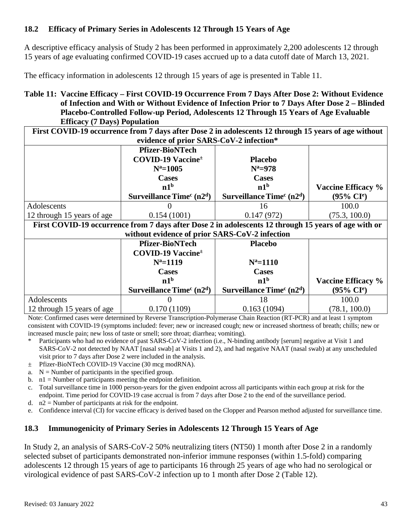## **18.2 Efficacy of Primary Series in Adolescents 12 Through 15 Years of Age**

A descriptive efficacy analysis of Study 2 has been performed in approximately 2,200 adolescents 12 through 15 years of age evaluating confirmed COVID-19 cases accrued up to a data cutoff date of March 13, 2021.

The efficacy information in adolescents 12 through 15 years of age is presented in Table 11.

**Table 11: Vaccine Efficacy – First COVID-19 Occurrence From 7 Days After Dose 2: Without Evidence of Infection and With or Without Evidence of Infection Prior to 7 Days After Dose 2 – Blinded Placebo-Controlled Follow-up Period, Adolescents 12 Through 15 Years of Age Evaluable Efficacy (7 Days) Population**

|                                                          |                                                                                                      | First COVID-19 occurrence from 7 days after Dose 2 in adolescents 12 through 15 years of age without |                                |  |  |  |  |
|----------------------------------------------------------|------------------------------------------------------------------------------------------------------|------------------------------------------------------------------------------------------------------|--------------------------------|--|--|--|--|
|                                                          | evidence of prior SARS-CoV-2 infection*                                                              |                                                                                                      |                                |  |  |  |  |
|                                                          | <b>Pfizer-BioNTech</b><br><b>COVID-19 Vaccine</b> <sup>±</sup>                                       | <b>Placebo</b>                                                                                       |                                |  |  |  |  |
|                                                          | $N^a = 1005$                                                                                         | $N^a = 978$                                                                                          |                                |  |  |  |  |
|                                                          | <b>Cases</b>                                                                                         | <b>Cases</b>                                                                                         |                                |  |  |  |  |
|                                                          | n1 <sup>b</sup>                                                                                      | n1 <sup>b</sup>                                                                                      | <b>Vaccine Efficacy %</b>      |  |  |  |  |
|                                                          | Surveillance Time $c(n2d)$                                                                           | Surveillance Time $c(n2d)$                                                                           | $(95\% \text{ CI}^{\text{e}})$ |  |  |  |  |
| Adolescents                                              |                                                                                                      | 16                                                                                                   | 100.0                          |  |  |  |  |
| 12 through 15 years of age                               | 0.154(1001)                                                                                          | 0.147(972)                                                                                           | (75.3, 100.0)                  |  |  |  |  |
|                                                          | First COVID-19 occurrence from 7 days after Dose 2 in adolescents 12 through 15 years of age with or |                                                                                                      |                                |  |  |  |  |
|                                                          | without evidence of prior SARS-CoV-2 infection                                                       |                                                                                                      |                                |  |  |  |  |
|                                                          | <b>Pfizer-BioNTech</b><br><b>Placebo</b>                                                             |                                                                                                      |                                |  |  |  |  |
|                                                          | <b>COVID-19 Vaccine</b> <sup>±</sup>                                                                 |                                                                                                      |                                |  |  |  |  |
|                                                          | $N^a = 1119$                                                                                         | $N^a = 1110$                                                                                         |                                |  |  |  |  |
|                                                          | <b>Cases</b><br><b>Cases</b>                                                                         |                                                                                                      |                                |  |  |  |  |
| n1 <sup>b</sup><br>n1 <sup>b</sup><br>Vaccine Efficacy % |                                                                                                      |                                                                                                      |                                |  |  |  |  |
|                                                          | Surveillance Time $c(n2d)$                                                                           | Surveillance Time $c(n2d)$                                                                           | $(95\% \; Cl^e)$               |  |  |  |  |
| Adolescents                                              |                                                                                                      | 18                                                                                                   | 100.0                          |  |  |  |  |
| 12 through 15 years of age                               | 0.170(1109)                                                                                          | 0.163(1094)                                                                                          | (78.1, 100.0)                  |  |  |  |  |

Note: Confirmed cases were determined by Reverse Transcription-Polymerase Chain Reaction (RT-PCR) and at least 1 symptom consistent with COVID-19 (symptoms included: fever; new or increased cough; new or increased shortness of breath; chills; new or increased muscle pain; new loss of taste or smell; sore throat; diarrhea; vomiting).

- Participants who had no evidence of past SARS-CoV-2 infection (i.e., N-binding antibody [serum] negative at Visit 1 and SARS-CoV-2 not detected by NAAT [nasal swab] at Visits 1 and 2), and had negative NAAT (nasal swab) at any unscheduled visit prior to 7 days after Dose 2 were included in the analysis.
- ± Pfizer-BioNTech COVID-19 Vaccine (30 mcg modRNA).
- a.  $N =$  Number of participants in the specified group.
- b.  $n_1 =$  Number of participants meeting the endpoint definition.
- c. Total surveillance time in 1000 person-years for the given endpoint across all participants within each group at risk for the endpoint. Time period for COVID-19 case accrual is from 7 days after Dose 2 to the end of the surveillance period.
- d.  $n2 =$  Number of participants at risk for the endpoint.
- e. Confidence interval (CI) for vaccine efficacy is derived based on the Clopper and Pearson method adjusted for surveillance time.

## **18.3 Immunogenicity of Primary Series in Adolescents 12 Through 15 Years of Age**

In Study 2, an analysis of SARS-CoV-2 50% neutralizing titers (NT50) 1 month after Dose 2 in a randomly selected subset of participants demonstrated non-inferior immune responses (within 1.5-fold) comparing adolescents 12 through 15 years of age to participants 16 through 25 years of age who had no serological or virological evidence of past SARS-CoV-2 infection up to 1 month after Dose 2 (Table 12).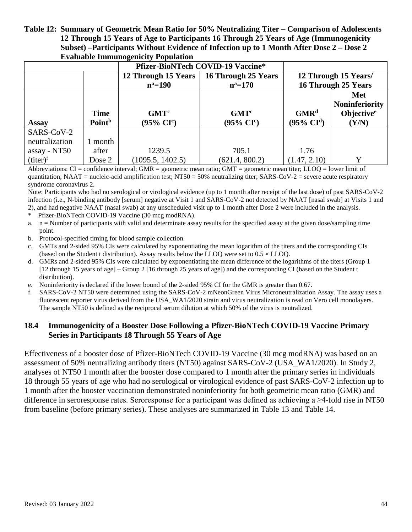#### **Table 12: Summary of Geometric Mean Ratio for 50% Neutralizing Titer – Comparison of Adolescents 12 Through 15 Years of Age to Participants 16 Through 25 Years of Age (Immunogenicity Subset) –Participants Without Evidence of Infection up to 1 Month After Dose 2 – Dose 2 Evaluable Immunogenicity Population**

|                | <b>Pfizer-BioNTech COVID-19 Vaccine*</b> |                       |                       |                          |                        |
|----------------|------------------------------------------|-----------------------|-----------------------|--------------------------|------------------------|
|                |                                          | 12 Through 15 Years   | 16 Through 25 Years   |                          | 12 Through 15 Years/   |
|                |                                          | $n^a = 190$           | $n^a = 170$           |                          | 16 Through 25 Years    |
|                |                                          |                       |                       |                          | Met                    |
|                |                                          |                       |                       |                          | <b>Noninferiority</b>  |
|                | <b>Time</b>                              | GMT <sup>c</sup>      | GMT <sup>c</sup>      | GMR <sup>d</sup>         | Objective <sup>e</sup> |
| <b>Assay</b>   | Point <sup>b</sup>                       | $(95\% \text{ CI}^c)$ | $(95\% \text{ CI}^c)$ | $(95\% \ \mathrm{CI}^d)$ | (Y/N)                  |
| SARS-CoV-2     |                                          |                       |                       |                          |                        |
| neutralization | month                                    |                       |                       |                          |                        |
| assay - NT50   | after                                    | 1239.5                | 705.1                 | 1.76                     |                        |
| $(titer)^f$    | Dose 2                                   | (1095.5, 1402.5)      | (621.4, 800.2)        | (1.47, 2.10)             | v                      |

Abbreviations:  $CI =$  confidence interval; GMR = geometric mean ratio; GMT = geometric mean titer; LLOQ = lower limit of quantitation; NAAT = nucleic-acid amplification test;  $NT50 = 50\%$  neutralizing titer; SARS-CoV-2 = severe acute respiratory syndrome coronavirus 2.

Note: Participants who had no serological or virological evidence (up to 1 month after receipt of the last dose) of past SARS-CoV-2 infection (i.e., N-binding antibody [serum] negative at Visit 1 and SARS-CoV-2 not detected by NAAT [nasal swab] at Visits 1 and 2), and had negative NAAT (nasal swab) at any unscheduled visit up to 1 month after Dose 2 were included in the analysis.

- \* Pfizer-BioNTech COVID-19 Vaccine (30 mcg modRNA).
- a.  $n =$  Number of participants with valid and determinate assay results for the specified assay at the given dose/sampling time point.
- b. Protocol-specified timing for blood sample collection.
- c. GMTs and 2-sided 95% CIs were calculated by exponentiating the mean logarithm of the titers and the corresponding CIs (based on the Student t distribution). Assay results below the LLOO were set to  $0.5 \times$  LLOO.
- d. GMRs and 2-sided 95% CIs were calculated by exponentiating the mean difference of the logarithms of the titers (Group 1 [12 through 15 years of age] – Group 2 [16 through 25 years of age]) and the corresponding CI (based on the Student t distribution).
- e. Noninferiority is declared if the lower bound of the 2-sided 95% CI for the GMR is greater than 0.67.
- f. SARS-CoV-2 NT50 were determined using the SARS-CoV-2 mNeonGreen Virus Microneutralization Assay. The assay uses a fluorescent reporter virus derived from the USA WA1/2020 strain and virus neutralization is read on Vero cell monolayers. The sample NT50 is defined as the reciprocal serum dilution at which 50% of the virus is neutralized.

#### **18.4 Immunogenicity of a Booster Dose Following a Pfizer-BioNTech COVID-19 Vaccine Primary Series in Participants 18 Through 55 Years of Age**

Effectiveness of a booster dose of Pfizer-BioNTech COVID-19 Vaccine (30 mcg modRNA) was based on an assessment of 50% neutralizing antibody titers (NT50) against SARS-CoV-2 (USA\_WA1/2020). In Study 2, analyses of NT50 1 month after the booster dose compared to 1 month after the primary series in individuals 18 through 55 years of age who had no serological or virological evidence of past SARS-CoV-2 infection up to 1 month after the booster vaccination demonstrated noninferiority for both geometric mean ratio (GMR) and difference in seroresponse rates. Seroresponse for a participant was defined as achieving a ≥4-fold rise in NT50 from baseline (before primary series). These analyses are summarized in Table 13 and Table 14.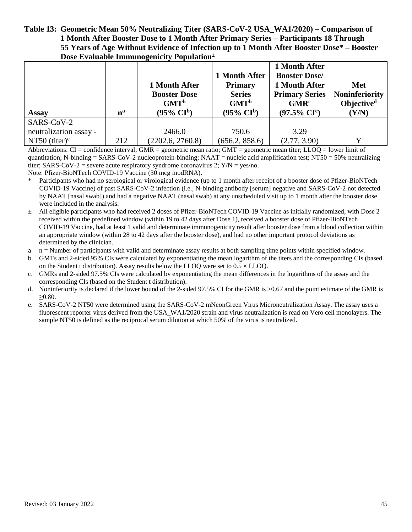#### **Table 13: Geometric Mean 50% Neutralizing Titer (SARS-CoV-2 USA\_WA1/2020) – Comparison of 1 Month After Booster Dose to 1 Month After Primary Series – Participants 18 Through 55 Years of Age Without Evidence of Infection up to 1 Month After Booster Dose\* – Booster Dose Evaluable Immunogenicity Population±**

|                        | $n^a$ | ັ<br>1 Month After<br><b>Booster Dose</b><br>GMT <sup>b</sup><br>$(95\% \text{ CI}^b)$ | 1 Month After<br><b>Primary</b><br><b>Series</b><br>GMT <sup>b</sup><br>$(95\% \text{ CI}^{\text{b}})$ | 1 Month After<br><b>Booster Dose/</b><br>1 Month After<br><b>Primary Series</b><br>GMR <sup>c</sup><br>$(97.5\% \text{ CI}^{\text{c}})$ | Met<br><b>Noninferiority</b><br>Objective $d$<br>(Y/N) |
|------------------------|-------|----------------------------------------------------------------------------------------|--------------------------------------------------------------------------------------------------------|-----------------------------------------------------------------------------------------------------------------------------------------|--------------------------------------------------------|
| <b>Assay</b>           |       |                                                                                        |                                                                                                        |                                                                                                                                         |                                                        |
| SARS-CoV-2             |       |                                                                                        |                                                                                                        |                                                                                                                                         |                                                        |
| neutralization assay - |       | 2466.0                                                                                 | 750.6                                                                                                  | 3.29                                                                                                                                    |                                                        |
| NT50 (titer) $e$       | 212   | (2202.6, 2760.8)                                                                       | (656.2, 858.6)                                                                                         | (2.77, 3.90)                                                                                                                            |                                                        |

Abbreviations:  $CI =$  confidence interval; GMR = geometric mean ratio; GMT = geometric mean titer; LLOQ = lower limit of quantitation; N-binding  $=$  SARS-CoV-2 nucleoprotein-binding; NAAT  $=$  nucleic acid amplification test; NT50  $=$  50% neutralizing titer; SARS-CoV-2 = severe acute respiratory syndrome coronavirus 2;  $Y/N = \text{ves/no}$ .

Note: Pfizer-BioNTech COVID-19 Vaccine (30 mcg modRNA).

- Participants who had no serological or virological evidence (up to 1 month after receipt of a booster dose of Pfizer-BioNTech COVID-19 Vaccine) of past SARS-CoV-2 infection (i.e., N-binding antibody [serum] negative and SARS-CoV-2 not detected by NAAT [nasal swab]) and had a negative NAAT (nasal swab) at any unscheduled visit up to 1 month after the booster dose were included in the analysis.
- $\pm$  All eligible participants who had received 2 doses of Pfizer-BioNTech COVID-19 Vaccine as initially randomized, with Dose 2 received within the predefined window (within 19 to 42 days after Dose 1), received a booster dose of Pfizer-BioNTech COVID-19 Vaccine, had at least 1 valid and determinate immunogenicity result after booster dose from a blood collection within an appropriate window (within 28 to 42 days after the booster dose), and had no other important protocol deviations as determined by the clinician.
- a.  $n =$  Number of participants with valid and determinate assay results at both sampling time points within specified window.
- b. GMTs and 2-sided 95% CIs were calculated by exponentiating the mean logarithm of the titers and the corresponding CIs (based on the Student t distribution). Assay results below the LLOQ were set to  $0.5 \times LLOQ$ .
- c. GMRs and 2-sided 97.5% CIs were calculated by exponentiating the mean differences in the logarithms of the assay and the corresponding CIs (based on the Student t distribution).
- d. Noninferiority is declared if the lower bound of the 2-sided 97.5% CI for the GMR is >0.67 and the point estimate of the GMR is ≥0.80.
- e. SARS-CoV-2 NT50 were determined using the SARS-CoV-2 mNeonGreen Virus Microneutralization Assay. The assay uses a fluorescent reporter virus derived from the USA WA1/2020 strain and virus neutralization is read on Vero cell monolayers. The sample NT50 is defined as the reciprocal serum dilution at which 50% of the virus is neutralized.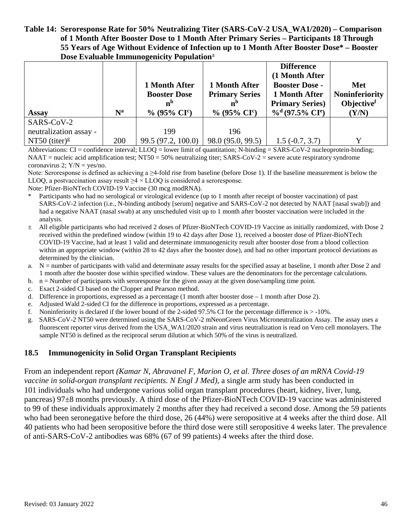#### **Table 14: Seroresponse Rate for 50% Neutralizing Titer (SARS-CoV-2 USA\_WA1/2020) – Comparison of 1 Month After Booster Dose to 1 Month After Primary Series – Participants 18 Through 55 Years of Age Without Evidence of Infection up to 1 Month After Booster Dose\* – Booster Dose Evaluable Immunogenicity Population±**

|                        |                           | 1 Month After<br><b>Booster Dose</b><br>n <sub>p</sub> | 1 Month After<br><b>Primary Series</b><br>n <sub>p</sub> | <b>Difference</b><br>(1 Month After<br><b>Booster Dose -</b><br>1 Month After<br><b>Primary Series</b> ) | Met<br><b>Noninferiority</b><br>Objectivef |
|------------------------|---------------------------|--------------------------------------------------------|----------------------------------------------------------|----------------------------------------------------------------------------------------------------------|--------------------------------------------|
| <b>Assay</b>           | $\mathbf{N}^{\mathbf{a}}$ | $\%$ (95% CI <sup>c</sup> )                            | $\%$ (95% CI <sup>c</sup> )                              | $\%$ <sup>d</sup> (97.5% CI <sup>e</sup> )                                                               | (Y/N)                                      |
| SARS-CoV-2             |                           |                                                        |                                                          |                                                                                                          |                                            |
| neutralization assay - |                           | 199                                                    | 196                                                      |                                                                                                          |                                            |
| NT50 (titer) $g$       | 200                       | 99.5 (97.2, 100.0)                                     | 98.0 (95.0, 99.5)                                        | $1.5(-0.7, 3.7)$                                                                                         |                                            |

Abbreviations:  $CI =$  confidence interval;  $LLOQ =$  lower limit of quantitation; N-binding = SARS-CoV-2 nucleoprotein-binding;  $NAAT$  = nucleic acid amplification test;  $NT50 = 50\%$  neutralizing titer;  $SARS-CoV-2$  = severe acute respiratory syndrome coronavirus 2;  $Y/N = yes/no$ .

Note: Seroresponse is defined as achieving a  $\geq$ 4-fold rise from baseline (before Dose 1). If the baseline measurement is below the LLOQ, a postvaccination assay result  $\geq 4 \times$  LLOQ is considered a seroresponse.

Note: Pfizer-BioNTech COVID-19 Vaccine (30 mcg modRNA).

- Participants who had no serological or virological evidence (up to 1 month after receipt of booster vaccination) of past SARS-CoV-2 infection (i.e., N-binding antibody [serum] negative and SARS-CoV-2 not detected by NAAT [nasal swab]) and had a negative NAAT (nasal swab) at any unscheduled visit up to 1 month after booster vaccination were included in the analysis.
- $\pm$  All eligible participants who had received 2 doses of Pfizer-BioNTech COVID-19 Vaccine as initially randomized, with Dose 2 received within the predefined window (within 19 to 42 days after Dose 1), received a booster dose of Pfizer-BioNTech COVID-19 Vaccine, had at least 1 valid and determinate immunogenicity result after booster dose from a blood collection within an appropriate window (within 28 to 42 days after the booster dose), and had no other important protocol deviations as determined by the clinician.
- a. N = number of participants with valid and determinate assay results for the specified assay at baseline, 1 month after Dose 2 and 1 month after the booster dose within specified window. These values are the denominators for the percentage calculations.
- b. n = Number of participants with seroresponse for the given assay at the given dose/sampling time point.
- c. Exact 2-sided CI based on the Clopper and Pearson method.
- d. Difference in proportions, expressed as a percentage (1 month after booster dose 1 month after Dose 2).
- e. Adjusted Wald 2-sided CI for the difference in proportions, expressed as a percentage.
- f. Noninferiority is declared if the lower bound of the 2-sided 97.5% CI for the percentage difference is  $>$ -10%.
- g. SARS-CoV-2 NT50 were determined using the SARS-CoV-2 mNeonGreen Virus Microneutralization Assay. The assay uses a fluorescent reporter virus derived from the USA\_WA1/2020 strain and virus neutralization is read on Vero cell monolayers. The sample NT50 is defined as the reciprocal serum dilution at which 50% of the virus is neutralized.

#### **18.5 Immunogenicity in Solid Organ Transplant Recipients**

From an independent report *(Kamar N, Abravanel F, Marion O, et al. Three doses of an mRNA Covid-19 vaccine in solid-organ transplant recipients. N Engl J Med)*, a single arm study has been conducted in 101 individuals who had undergone various solid organ transplant procedures (heart, kidney, liver, lung, pancreas) 97±8 months previously. A third dose of the Pfizer-BioNTech COVID-19 vaccine was administered to 99 of these individuals approximately 2 months after they had received a second dose. Among the 59 patients who had been seronegative before the third dose, 26 (44%) were seropositive at 4 weeks after the third dose. All 40 patients who had been seropositive before the third dose were still seropositive 4 weeks later. The prevalence of anti-SARS-CoV-2 antibodies was 68% (67 of 99 patients) 4 weeks after the third dose.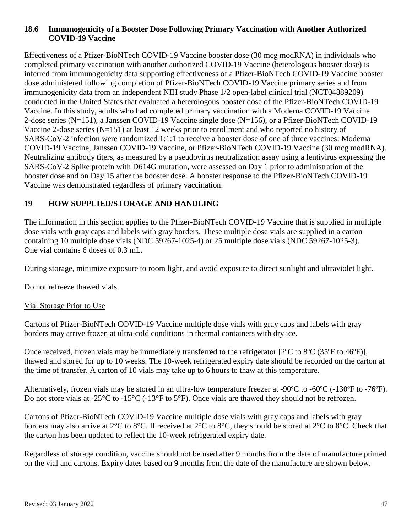#### **18.6 Immunogenicity of a Booster Dose Following Primary Vaccination with Another Authorized COVID-19 Vaccine**

Effectiveness of a Pfizer-BioNTech COVID-19 Vaccine booster dose (30 mcg modRNA) in individuals who completed primary vaccination with another authorized COVID-19 Vaccine (heterologous booster dose) is inferred from immunogenicity data supporting effectiveness of a Pfizer-BioNTech COVID-19 Vaccine booster dose administered following completion of Pfizer-BioNTech COVID-19 Vaccine primary series and from immunogenicity data from an independent NIH study Phase 1/2 open-label clinical trial (NCT04889209) conducted in the United States that evaluated a heterologous booster dose of the Pfizer-BioNTech COVID-19 Vaccine. In this study, adults who had completed primary vaccination with a Moderna COVID-19 Vaccine 2-dose series (N=151), a Janssen COVID-19 Vaccine single dose (N=156), or a Pfizer-BioNTech COVID-19 Vaccine 2-dose series (N=151) at least 12 weeks prior to enrollment and who reported no history of SARS-CoV-2 infection were randomized 1:1:1 to receive a booster dose of one of three vaccines: Moderna COVID-19 Vaccine, Janssen COVID-19 Vaccine, or Pfizer-BioNTech COVID-19 Vaccine (30 mcg modRNA). Neutralizing antibody titers, as measured by a pseudovirus neutralization assay using a lentivirus expressing the SARS-CoV-2 Spike protein with D614G mutation, were assessed on Day 1 prior to administration of the booster dose and on Day 15 after the booster dose. A booster response to the Pfizer-BioNTech COVID-19 Vaccine was demonstrated regardless of primary vaccination.

## **19 HOW SUPPLIED/STORAGE AND HANDLING**

The information in this section applies to the Pfizer-BioNTech COVID-19 Vaccine that is supplied in multiple dose vials with gray caps and labels with gray borders. These multiple dose vials are supplied in a carton containing 10 multiple dose vials (NDC 59267-1025-4) or 25 multiple dose vials (NDC 59267-1025-3). One vial contains 6 doses of 0.3 mL.

During storage, minimize exposure to room light, and avoid exposure to direct sunlight and ultraviolet light.

Do not refreeze thawed vials.

#### Vial Storage Prior to Use

Cartons of Pfizer-BioNTech COVID-19 Vaccine multiple dose vials with gray caps and labels with gray borders may arrive frozen at ultra-cold conditions in thermal containers with dry ice.

Once received, frozen vials may be immediately transferred to the refrigerator [2ºC to 8ºC (35ºF to 46ºF)], thawed and stored for up to 10 weeks. The 10-week refrigerated expiry date should be recorded on the carton at the time of transfer. A carton of 10 vials may take up to 6 hours to thaw at this temperature.

Alternatively, frozen vials may be stored in an ultra-low temperature freezer at -90ºC to -60ºC (-130ºF to -76ºF). Do not store vials at -25°C to -15°C (-13°F to 5°F). Once vials are thawed they should not be refrozen.

Cartons of Pfizer-BioNTech COVID-19 Vaccine multiple dose vials with gray caps and labels with gray borders may also arrive at 2°C to 8°C. If received at 2°C to 8°C, they should be stored at 2°C to 8°C. Check that the carton has been updated to reflect the 10-week refrigerated expiry date.

Regardless of storage condition, vaccine should not be used after 9 months from the date of manufacture printed on the vial and cartons. Expiry dates based on 9 months from the date of the manufacture are shown below.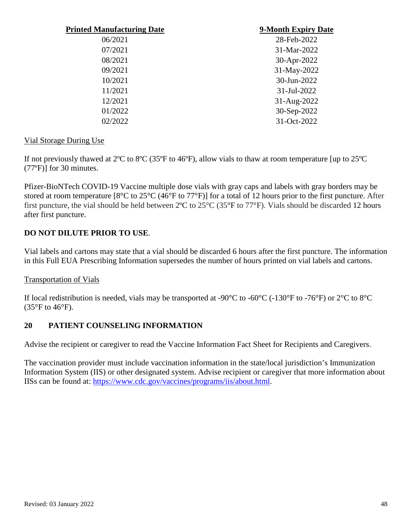| <b>Printed Manufacturing Date</b> | 9-Month Expiry Date |
|-----------------------------------|---------------------|
| 06/2021                           | 28-Feb-2022         |
| 07/2021                           | 31-Mar-2022         |
| 08/2021                           | 30-Apr-2022         |
| 09/2021                           | 31-May-2022         |
| 10/2021                           | 30-Jun-2022         |
| 11/2021                           | 31-Jul-2022         |
| 12/2021                           | 31-Aug-2022         |
| 01/2022                           | 30-Sep-2022         |
| 02/2022                           | 31-Oct-2022         |

#### Vial Storage During Use

If not previously thawed at 2ºC to 8ºC (35ºF to 46ºF), allow vials to thaw at room temperature [up to 25ºC (77ºF)] for 30 minutes.

Pfizer-BioNTech COVID-19 Vaccine multiple dose vials with gray caps and labels with gray borders may be stored at room temperature [8°C to 25°C (46°F to 77°F)] for a total of 12 hours prior to the first puncture. After first puncture, the vial should be held between 2ºC to 25°C (35°F to 77°F). Vials should be discarded 12 hours after first puncture.

## **DO NOT DILUTE PRIOR TO USE**.

Vial labels and cartons may state that a vial should be discarded 6 hours after the first puncture. The information in this Full EUA Prescribing Information supersedes the number of hours printed on vial labels and cartons.

#### Transportation of Vials

If local redistribution is needed, vials may be transported at -90°C to -60°C (-130°F to -76°F) or 2°C to 8°C  $(35^{\circ}F \text{ to } 46^{\circ}F).$ 

#### **20 PATIENT COUNSELING INFORMATION**

Advise the recipient or caregiver to read the Vaccine Information Fact Sheet for Recipients and Caregivers.

The vaccination provider must include vaccination information in the state/local jurisdiction's Immunization Information System (IIS) or other designated system. Advise recipient or caregiver that more information about IISs can be found at: [https://www.cdc.gov/vaccines/programs/iis/about.html.](https://www.cdc.gov/vaccines/programs/iis/about.html)